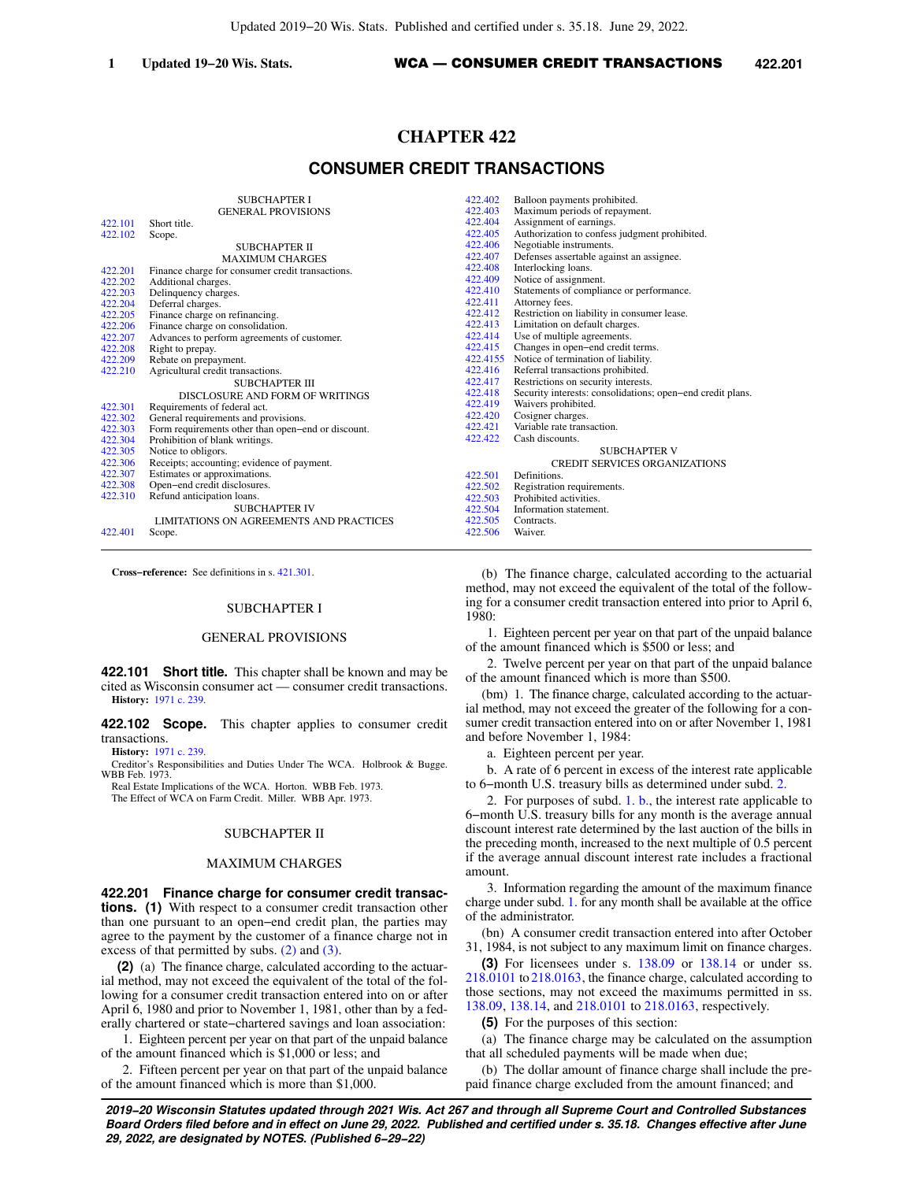# **CHAPTER 422**

## **CONSUMER CREDIT TRANSACTIONS**

|         | <b>SUBCHAPTER I</b>                                | 422.402 | Balloon payments prohibited.                               |
|---------|----------------------------------------------------|---------|------------------------------------------------------------|
|         | <b>GENERAL PROVISIONS</b>                          | 422.403 | Maximum periods of repayment.                              |
| 422.101 | Short title.                                       | 422.404 | Assignment of earnings.                                    |
| 422.102 | Scope.                                             | 422,405 | Authorization to confess judgment prohibited.              |
|         | SUBCHAPTER II                                      | 422,406 | Negotiable instruments.                                    |
|         | <b>MAXIMUM CHARGES</b>                             | 422,407 | Defenses assertable against an assignee.                   |
| 422.201 | Finance charge for consumer credit transactions.   | 422.408 | Interlocking loans.                                        |
| 422.202 | Additional charges.                                | 422.409 | Notice of assignment.                                      |
| 422.203 | Delinquency charges.                               | 422,410 | Statements of compliance or performance.                   |
| 422.204 | Deferral charges.                                  | 422.411 | Attorney fees.                                             |
| 422.205 | Finance charge on refinancing.                     | 422.412 | Restriction on liability in consumer lease.                |
| 422.206 | Finance charge on consolidation.                   | 422.413 | Limitation on default charges.                             |
| 422.207 | Advances to perform agreements of customer.        | 422,414 | Use of multiple agreements.                                |
| 422.208 | Right to prepay.                                   | 422.415 | Changes in open-end credit terms.                          |
| 422.209 | Rebate on prepayment.                              |         | 422.4155 Notice of termination of liability.               |
| 422.210 | Agricultural credit transactions.                  | 422.416 | Referral transactions prohibited.                          |
|         | SUBCHAPTER III                                     | 422.417 | Restrictions on security interests.                        |
|         | DISCLOSURE AND FORM OF WRITINGS                    | 422.418 | Security interests: consolidations; open-end credit plans. |
| 422.301 | Requirements of federal act.                       | 422.419 | Waivers prohibited.                                        |
| 422,302 | General requirements and provisions.               | 422.420 | Cosigner charges.                                          |
| 422.303 | Form requirements other than open-end or discount. | 422.421 | Variable rate transaction.                                 |
| 422.304 | Prohibition of blank writings.                     | 422.422 | Cash discounts.                                            |
| 422.305 | Notice to obligors.                                |         | <b>SUBCHAPTER V</b>                                        |
| 422.306 | Receipts; accounting; evidence of payment.         |         | CREDIT SERVICES ORGANIZATIONS                              |
| 422.307 | Estimates or approximations.                       | 422.501 | Definitions.                                               |
| 422.308 | Open-end credit disclosures.                       | 422.502 | Registration requirements.                                 |
| 422.310 | Refund anticipation loans.                         | 422.503 | Prohibited activities.                                     |
|         | <b>SUBCHAPTER IV</b>                               | 422.504 | Information statement.                                     |
|         | LIMITATIONS ON AGREEMENTS AND PRACTICES            | 422.505 | Contracts.                                                 |
| 422.401 | Scope.                                             | 422.506 | Waiver.                                                    |
|         |                                                    |         |                                                            |

**Cross−reference:** See definitions in s. [421.301.](https://docs.legis.wisconsin.gov/document/statutes/421.301)

### SUBCHAPTER I

## GENERAL PROVISIONS

**422.101 Short title.** This chapter shall be known and may be cited as Wisconsin consumer act — consumer credit transactions. **History:** [1971 c. 239](https://docs.legis.wisconsin.gov/document/acts/1971/239).

**422.102 Scope.** This chapter applies to consumer credit transactions.

**History:** [1971 c. 239](https://docs.legis.wisconsin.gov/document/acts/1971/239).

- Creditor's Responsibilities and Duties Under The WCA. Holbrook & Bugge. WBB Feb. 1973.
	- Real Estate Implications of the WCA. Horton. WBB Feb. 1973.

The Effect of WCA on Farm Credit. Miller. WBB Apr. 1973.

### SUBCHAPTER II

### MAXIMUM CHARGES

**422.201 Finance charge for consumer credit transactions. (1)** With respect to a consumer credit transaction other than one pursuant to an open−end credit plan, the parties may agree to the payment by the customer of a finance charge not in excess of that permitted by subs. [\(2\)](https://docs.legis.wisconsin.gov/document/statutes/422.201(2)) and [\(3\).](https://docs.legis.wisconsin.gov/document/statutes/422.201(3))

**(2)** (a) The finance charge, calculated according to the actuarial method, may not exceed the equivalent of the total of the following for a consumer credit transaction entered into on or after April 6, 1980 and prior to November 1, 1981, other than by a federally chartered or state−chartered savings and loan association:

1. Eighteen percent per year on that part of the unpaid balance of the amount financed which is \$1,000 or less; and

2. Fifteen percent per year on that part of the unpaid balance of the amount financed which is more than \$1,000.

(b) The finance charge, calculated according to the actuarial method, may not exceed the equivalent of the total of the following for a consumer credit transaction entered into prior to April 6, 1980:

1. Eighteen percent per year on that part of the unpaid balance of the amount financed which is \$500 or less; and

2. Twelve percent per year on that part of the unpaid balance of the amount financed which is more than \$500.

(bm) 1. The finance charge, calculated according to the actuarial method, may not exceed the greater of the following for a consumer credit transaction entered into on or after November 1, 1981 and before November 1, 1984:

a. Eighteen percent per year.

b. A rate of 6 percent in excess of the interest rate applicable to 6−month U.S. treasury bills as determined under subd. [2.](https://docs.legis.wisconsin.gov/document/statutes/422.201(2)(bm)2.)

2. For purposes of subd. [1. b.,](https://docs.legis.wisconsin.gov/document/statutes/422.201(2)(bm)1.b.) the interest rate applicable to 6−month U.S. treasury bills for any month is the average annual discount interest rate determined by the last auction of the bills in the preceding month, increased to the next multiple of 0.5 percent if the average annual discount interest rate includes a fractional amount.

3. Information regarding the amount of the maximum finance charge under subd. [1.](https://docs.legis.wisconsin.gov/document/statutes/422.201(2)(bm)1.) for any month shall be available at the office of the administrator.

(bn) A consumer credit transaction entered into after October 31, 1984, is not subject to any maximum limit on finance charges.

**(3)** For licensees under s. [138.09](https://docs.legis.wisconsin.gov/document/statutes/138.09) or [138.14](https://docs.legis.wisconsin.gov/document/statutes/138.14) or under ss. [218.0101](https://docs.legis.wisconsin.gov/document/statutes/218.0101) to [218.0163,](https://docs.legis.wisconsin.gov/document/statutes/218.0163) the finance charge, calculated according to those sections, may not exceed the maximums permitted in ss. [138.09,](https://docs.legis.wisconsin.gov/document/statutes/138.09) [138.14](https://docs.legis.wisconsin.gov/document/statutes/138.14), and [218.0101](https://docs.legis.wisconsin.gov/document/statutes/218.0101) to [218.0163,](https://docs.legis.wisconsin.gov/document/statutes/218.0163) respectively.

**(5)** For the purposes of this section:

(a) The finance charge may be calculated on the assumption that all scheduled payments will be made when due;

(b) The dollar amount of finance charge shall include the prepaid finance charge excluded from the amount financed; and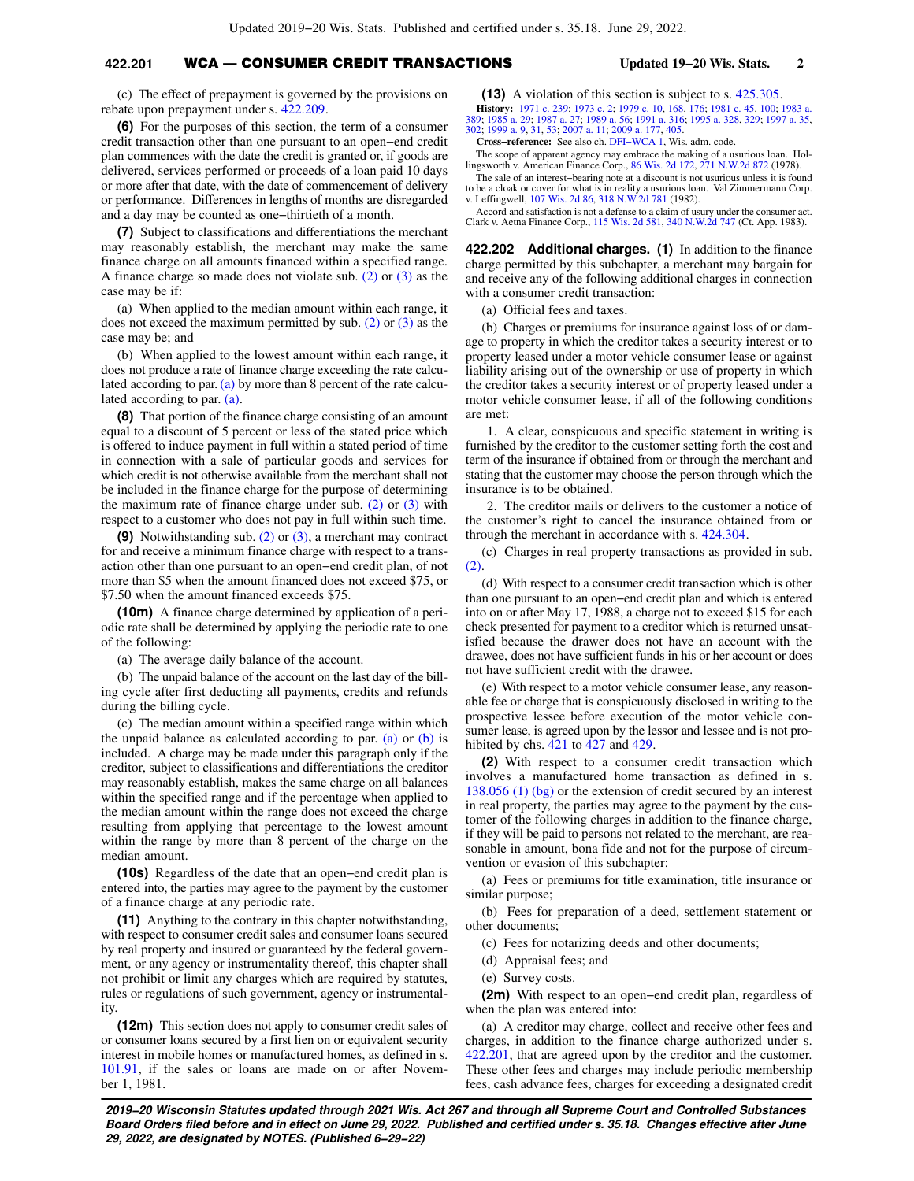## **422.201** WCA — CONSUMER CREDIT TRANSACTIONS **Updated 19−20 Wis. Stats. 2**

(c) The effect of prepayment is governed by the provisions on rebate upon prepayment under s. [422.209.](https://docs.legis.wisconsin.gov/document/statutes/422.209)

**(6)** For the purposes of this section, the term of a consumer credit transaction other than one pursuant to an open−end credit plan commences with the date the credit is granted or, if goods are delivered, services performed or proceeds of a loan paid 10 days or more after that date, with the date of commencement of delivery or performance. Differences in lengths of months are disregarded and a day may be counted as one−thirtieth of a month.

**(7)** Subject to classifications and differentiations the merchant may reasonably establish, the merchant may make the same finance charge on all amounts financed within a specified range. A finance charge so made does not violate sub. [\(2\)](https://docs.legis.wisconsin.gov/document/statutes/422.201(2)) or [\(3\)](https://docs.legis.wisconsin.gov/document/statutes/422.201(3)) as the case may be if:

(a) When applied to the median amount within each range, it does not exceed the maximum permitted by sub. [\(2\)](https://docs.legis.wisconsin.gov/document/statutes/422.201(2)) or [\(3\)](https://docs.legis.wisconsin.gov/document/statutes/422.201(3)) as the case may be; and

(b) When applied to the lowest amount within each range, it does not produce a rate of finance charge exceeding the rate calculated according to par. [\(a\)](https://docs.legis.wisconsin.gov/document/statutes/422.201(7)(a)) by more than 8 percent of the rate calculated according to par. [\(a\)](https://docs.legis.wisconsin.gov/document/statutes/422.201(7)(a)).

**(8)** That portion of the finance charge consisting of an amount equal to a discount of 5 percent or less of the stated price which is offered to induce payment in full within a stated period of time in connection with a sale of particular goods and services for which credit is not otherwise available from the merchant shall not be included in the finance charge for the purpose of determining the maximum rate of finance charge under sub.  $(2)$  or  $(3)$  with respect to a customer who does not pay in full within such time.

**(9)** Notwithstanding sub. [\(2\)](https://docs.legis.wisconsin.gov/document/statutes/422.201(2)) or [\(3\),](https://docs.legis.wisconsin.gov/document/statutes/422.201(3)) a merchant may contract for and receive a minimum finance charge with respect to a transaction other than one pursuant to an open−end credit plan, of not more than \$5 when the amount financed does not exceed \$75, or \$7.50 when the amount financed exceeds \$75.

**(10m)** A finance charge determined by application of a periodic rate shall be determined by applying the periodic rate to one of the following:

(a) The average daily balance of the account.

(b) The unpaid balance of the account on the last day of the billing cycle after first deducting all payments, credits and refunds during the billing cycle.

(c) The median amount within a specified range within which the unpaid balance as calculated according to par. [\(a\)](https://docs.legis.wisconsin.gov/document/statutes/422.201(10m)(a)) or  $(b)$  is included. A charge may be made under this paragraph only if the creditor, subject to classifications and differentiations the creditor may reasonably establish, makes the same charge on all balances within the specified range and if the percentage when applied to the median amount within the range does not exceed the charge resulting from applying that percentage to the lowest amount within the range by more than 8 percent of the charge on the median amount.

**(10s)** Regardless of the date that an open−end credit plan is entered into, the parties may agree to the payment by the customer of a finance charge at any periodic rate.

**(11)** Anything to the contrary in this chapter notwithstanding, with respect to consumer credit sales and consumer loans secured by real property and insured or guaranteed by the federal government, or any agency or instrumentality thereof, this chapter shall not prohibit or limit any charges which are required by statutes, rules or regulations of such government, agency or instrumentality.

**(12m)** This section does not apply to consumer credit sales of or consumer loans secured by a first lien on or equivalent security interest in mobile homes or manufactured homes, as defined in s. [101.91,](https://docs.legis.wisconsin.gov/document/statutes/101.91) if the sales or loans are made on or after November 1, 1981.

**(13)** A violation of this section is subject to s. [425.305.](https://docs.legis.wisconsin.gov/document/statutes/425.305) **History:** [1971 c. 239;](https://docs.legis.wisconsin.gov/document/acts/1971/239) [1973 c. 2;](https://docs.legis.wisconsin.gov/document/acts/1973/2) [1979 c. 10,](https://docs.legis.wisconsin.gov/document/acts/1979/10) [168](https://docs.legis.wisconsin.gov/document/acts/1979/168), [176](https://docs.legis.wisconsin.gov/document/acts/1979/176); [1981 c. 45,](https://docs.legis.wisconsin.gov/document/acts/1981/45) [100;](https://docs.legis.wisconsin.gov/document/acts/1981/100) [1983 a.](https://docs.legis.wisconsin.gov/document/acts/1983/389) [389;](https://docs.legis.wisconsin.gov/document/acts/1983/389) [1985 a. 29;](https://docs.legis.wisconsin.gov/document/acts/1985/29) [1987 a. 27;](https://docs.legis.wisconsin.gov/document/acts/1987/27) [1989 a. 56](https://docs.legis.wisconsin.gov/document/acts/1989/56); [1991 a. 316;](https://docs.legis.wisconsin.gov/document/acts/1991/316) [1995 a. 328](https://docs.legis.wisconsin.gov/document/acts/1995/328), [329](https://docs.legis.wisconsin.gov/document/acts/1995/329); [1997 a. 35](https://docs.legis.wisconsin.gov/document/acts/1997/35), [302;](https://docs.legis.wisconsin.gov/document/acts/1997/302) [1999 a. 9](https://docs.legis.wisconsin.gov/document/acts/1999/9), [31,](https://docs.legis.wisconsin.gov/document/acts/1999/31) [53](https://docs.legis.wisconsin.gov/document/acts/1999/53); [2007 a. 11](https://docs.legis.wisconsin.gov/document/acts/2007/11); [2009 a. 177,](https://docs.legis.wisconsin.gov/document/acts/2009/177) [405.](https://docs.legis.wisconsin.gov/document/acts/2009/405)

**Cross−reference:** See also ch. [DFI−WCA 1,](https://docs.legis.wisconsin.gov/document/administrativecode/ch.%20DFI-WCA%201) Wis. adm. code.

The scope of apparent agency may embrace the making of a usurious loan. Hollingsworth v. American Finance Corp., [86 Wis. 2d 172](https://docs.legis.wisconsin.gov/document/courts/86%20Wis.%202d%20172), [271 N.W.2d 872](https://docs.legis.wisconsin.gov/document/courts/271%20N.W.2d%20872) (1978).

The sale of an interest−bearing note at a discount is not usurious unless it is found to be a cloak or cover for what is in reality a usurious loan. Val Zimmermann Corp. v. Leffingwell, [107 Wis. 2d 86,](https://docs.legis.wisconsin.gov/document/courts/107%20Wis.%202d%2086) [318 N.W.2d 781](https://docs.legis.wisconsin.gov/document/courts/318%20N.W.2d%20781) (1982).

Accord and satisfaction is not a defense to a claim of usury under the consumer act. Clark v. Aetna Finance Corp., [115 Wis. 2d 581](https://docs.legis.wisconsin.gov/document/courts/115%20Wis.%202d%20581), [340 N.W.2d 747](https://docs.legis.wisconsin.gov/document/courts/340%20N.W.2d%20747) (Ct. App. 1983).

**422.202 Additional charges. (1)** In addition to the finance charge permitted by this subchapter, a merchant may bargain for and receive any of the following additional charges in connection with a consumer credit transaction:

(a) Official fees and taxes.

(b) Charges or premiums for insurance against loss of or damage to property in which the creditor takes a security interest or to property leased under a motor vehicle consumer lease or against liability arising out of the ownership or use of property in which the creditor takes a security interest or of property leased under a motor vehicle consumer lease, if all of the following conditions are met:

1. A clear, conspicuous and specific statement in writing is furnished by the creditor to the customer setting forth the cost and term of the insurance if obtained from or through the merchant and stating that the customer may choose the person through which the insurance is to be obtained.

2. The creditor mails or delivers to the customer a notice of the customer's right to cancel the insurance obtained from or through the merchant in accordance with s. [424.304.](https://docs.legis.wisconsin.gov/document/statutes/424.304)

(c) Charges in real property transactions as provided in sub.  $(2)$ .

(d) With respect to a consumer credit transaction which is other than one pursuant to an open−end credit plan and which is entered into on or after May 17, 1988, a charge not to exceed \$15 for each check presented for payment to a creditor which is returned unsatisfied because the drawer does not have an account with the drawee, does not have sufficient funds in his or her account or does not have sufficient credit with the drawee.

(e) With respect to a motor vehicle consumer lease, any reasonable fee or charge that is conspicuously disclosed in writing to the prospective lessee before execution of the motor vehicle consumer lease, is agreed upon by the lessor and lessee and is not prohibited by chs. [421](https://docs.legis.wisconsin.gov/document/statutes/ch.%20421) to [427](https://docs.legis.wisconsin.gov/document/statutes/ch.%20427) and [429](https://docs.legis.wisconsin.gov/document/statutes/ch.%20429).

**(2)** With respect to a consumer credit transaction which involves a manufactured home transaction as defined in s. [138.056 \(1\) \(bg\)](https://docs.legis.wisconsin.gov/document/statutes/138.056(1)(bg)) or the extension of credit secured by an interest in real property, the parties may agree to the payment by the customer of the following charges in addition to the finance charge, if they will be paid to persons not related to the merchant, are reasonable in amount, bona fide and not for the purpose of circumvention or evasion of this subchapter:

(a) Fees or premiums for title examination, title insurance or similar purpose;

(b) Fees for preparation of a deed, settlement statement or other documents;

- (c) Fees for notarizing deeds and other documents;
- (d) Appraisal fees; and
- (e) Survey costs.

**(2m)** With respect to an open−end credit plan, regardless of when the plan was entered into:

(a) A creditor may charge, collect and receive other fees and charges, in addition to the finance charge authorized under s. [422.201](https://docs.legis.wisconsin.gov/document/statutes/422.201), that are agreed upon by the creditor and the customer. These other fees and charges may include periodic membership fees, cash advance fees, charges for exceeding a designated credit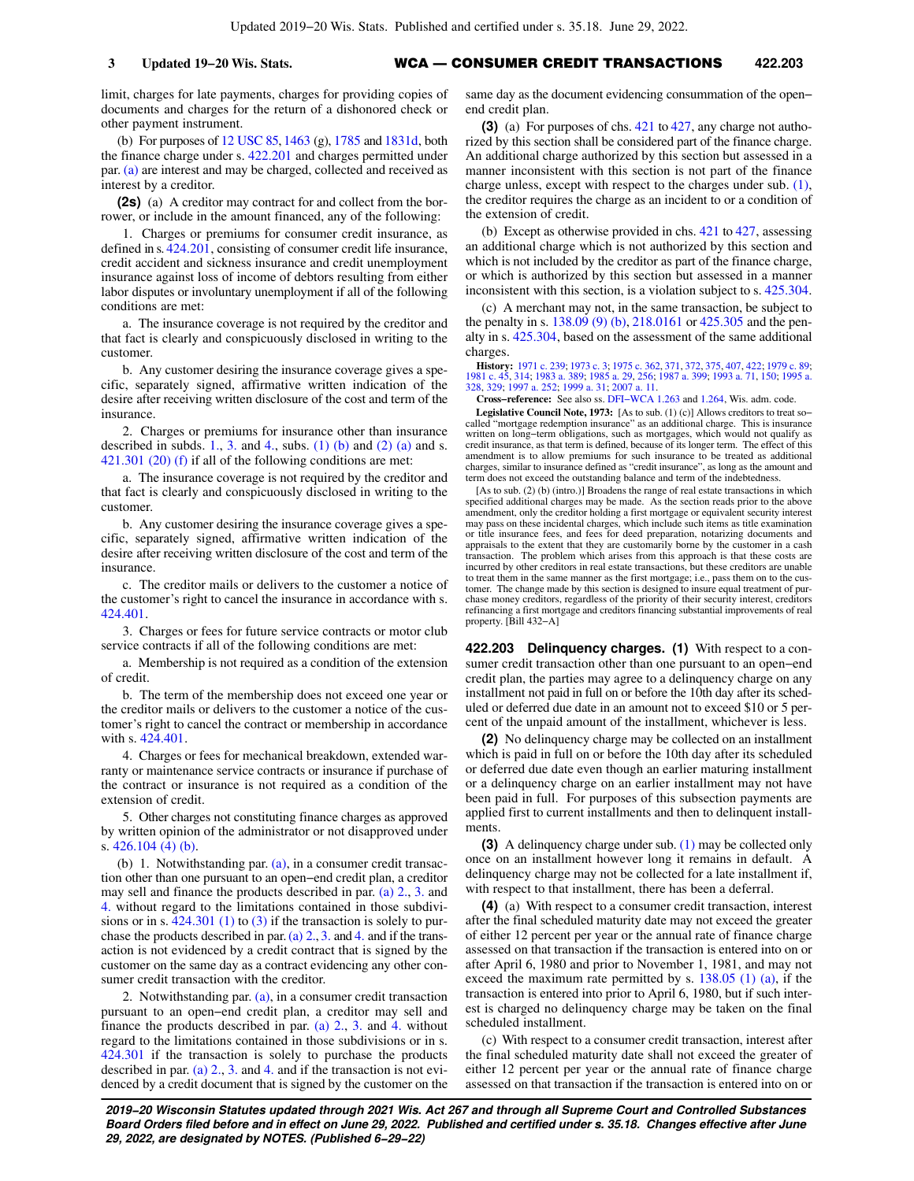limit, charges for late payments, charges for providing copies of documents and charges for the return of a dishonored check or other payment instrument.

(b) For purposes of [12 USC 85,](https://docs.legis.wisconsin.gov/document/usc/12%20USC%2085) [1463](https://docs.legis.wisconsin.gov/document/usc/12%20USC%201463) (g), [1785](https://docs.legis.wisconsin.gov/document/usc/12%20USC%201785) and [1831d](https://docs.legis.wisconsin.gov/document/usc/12%20USC%201831d), both the finance charge under s. [422.201](https://docs.legis.wisconsin.gov/document/statutes/422.201) and charges permitted under par. [\(a\)](https://docs.legis.wisconsin.gov/document/statutes/422.202(2m)(a)) are interest and may be charged, collected and received as interest by a creditor.

**(2s)** (a) A creditor may contract for and collect from the borrower, or include in the amount financed, any of the following:

1. Charges or premiums for consumer credit insurance, as defined in s. [424.201](https://docs.legis.wisconsin.gov/document/statutes/424.201), consisting of consumer credit life insurance, credit accident and sickness insurance and credit unemployment insurance against loss of income of debtors resulting from either labor disputes or involuntary unemployment if all of the following conditions are met:

a. The insurance coverage is not required by the creditor and that fact is clearly and conspicuously disclosed in writing to the customer.

b. Any customer desiring the insurance coverage gives a specific, separately signed, affirmative written indication of the desire after receiving written disclosure of the cost and term of the insurance.

2. Charges or premiums for insurance other than insurance described in subds. [1.](https://docs.legis.wisconsin.gov/document/statutes/422.202(2s)(a)1.), [3.](https://docs.legis.wisconsin.gov/document/statutes/422.202(2s)(a)3.) and [4.](https://docs.legis.wisconsin.gov/document/statutes/422.202(2s)(a)4.), subs. [\(1\) \(b\)](https://docs.legis.wisconsin.gov/document/statutes/422.202(1)(b)) and [\(2\) \(a\)](https://docs.legis.wisconsin.gov/document/statutes/422.202(2)(a)) and s. [421.301 \(20\) \(f\)](https://docs.legis.wisconsin.gov/document/statutes/421.301(20)(f)) if all of the following conditions are met:

a. The insurance coverage is not required by the creditor and that fact is clearly and conspicuously disclosed in writing to the customer.

b. Any customer desiring the insurance coverage gives a specific, separately signed, affirmative written indication of the desire after receiving written disclosure of the cost and term of the insurance.

c. The creditor mails or delivers to the customer a notice of the customer's right to cancel the insurance in accordance with s. [424.401](https://docs.legis.wisconsin.gov/document/statutes/424.401).

3. Charges or fees for future service contracts or motor club service contracts if all of the following conditions are met:

a. Membership is not required as a condition of the extension of credit.

b. The term of the membership does not exceed one year or the creditor mails or delivers to the customer a notice of the customer's right to cancel the contract or membership in accordance with s. [424.401.](https://docs.legis.wisconsin.gov/document/statutes/424.401)

4. Charges or fees for mechanical breakdown, extended warranty or maintenance service contracts or insurance if purchase of the contract or insurance is not required as a condition of the extension of credit.

5. Other charges not constituting finance charges as approved by written opinion of the administrator or not disapproved under s. [426.104 \(4\) \(b\).](https://docs.legis.wisconsin.gov/document/statutes/426.104(4)(b))

(b) 1. Notwithstanding par.  $(a)$ , in a consumer credit transaction other than one pursuant to an open−end credit plan, a creditor may sell and finance the products described in par. [\(a\) 2.](https://docs.legis.wisconsin.gov/document/statutes/422.202(2s)(a)2.), [3.](https://docs.legis.wisconsin.gov/document/statutes/422.202(2s)(a)3.) and [4.](https://docs.legis.wisconsin.gov/document/statutes/422.202(2s)(a)4.) without regard to the limitations contained in those subdivisions or in s.  $424.301$  (1) to [\(3\)](https://docs.legis.wisconsin.gov/document/statutes/424.301(3)) if the transaction is solely to purchase the products described in par. (a)  $2, 3$  and [4.](https://docs.legis.wisconsin.gov/document/statutes/422.202(2s)(a)4.) and if the transaction is not evidenced by a credit contract that is signed by the customer on the same day as a contract evidencing any other consumer credit transaction with the creditor.

2. Notwithstanding par. [\(a\),](https://docs.legis.wisconsin.gov/document/statutes/422.202(2s)(a)) in a consumer credit transaction pursuant to an open−end credit plan, a creditor may sell and finance the products described in par.  $(a)$  2., [3.](https://docs.legis.wisconsin.gov/document/statutes/422.202(2s)(a)3.) and [4.](https://docs.legis.wisconsin.gov/document/statutes/422.202(2s)(a)4.) without regard to the limitations contained in those subdivisions or in s. [424.301](https://docs.legis.wisconsin.gov/document/statutes/424.301) if the transaction is solely to purchase the products described in par. (a)  $2, 3$  and 4, and if the transaction is not evidenced by a credit document that is signed by the customer on the same day as the document evidencing consummation of the open− end credit plan.

**(3)** (a) For purposes of chs. [421](https://docs.legis.wisconsin.gov/document/statutes/ch.%20421) to [427](https://docs.legis.wisconsin.gov/document/statutes/ch.%20427), any charge not authorized by this section shall be considered part of the finance charge. An additional charge authorized by this section but assessed in a manner inconsistent with this section is not part of the finance charge unless, except with respect to the charges under sub. [\(1\),](https://docs.legis.wisconsin.gov/document/statutes/422.202(1)) the creditor requires the charge as an incident to or a condition of the extension of credit.

(b) Except as otherwise provided in chs. [421](https://docs.legis.wisconsin.gov/document/statutes/ch.%20421) to [427,](https://docs.legis.wisconsin.gov/document/statutes/ch.%20427) assessing an additional charge which is not authorized by this section and which is not included by the creditor as part of the finance charge, or which is authorized by this section but assessed in a manner inconsistent with this section, is a violation subject to s. [425.304.](https://docs.legis.wisconsin.gov/document/statutes/425.304)

(c) A merchant may not, in the same transaction, be subject to the penalty in s. [138.09 \(9\) \(b\),](https://docs.legis.wisconsin.gov/document/statutes/138.09(9)(b)) [218.0161](https://docs.legis.wisconsin.gov/document/statutes/218.0161) or [425.305](https://docs.legis.wisconsin.gov/document/statutes/425.305) and the penalty in s. [425.304](https://docs.legis.wisconsin.gov/document/statutes/425.304), based on the assessment of the same additional charges.

**History:** [1971 c. 239;](https://docs.legis.wisconsin.gov/document/acts/1971/239) [1973 c. 3](https://docs.legis.wisconsin.gov/document/acts/1973/3); [1975 c. 362](https://docs.legis.wisconsin.gov/document/acts/1975/362), [371,](https://docs.legis.wisconsin.gov/document/acts/1975/371) [372,](https://docs.legis.wisconsin.gov/document/acts/1975/372) [375](https://docs.legis.wisconsin.gov/document/acts/1975/375), [407,](https://docs.legis.wisconsin.gov/document/acts/1975/407) [422](https://docs.legis.wisconsin.gov/document/acts/1975/422); [1979 c. 89](https://docs.legis.wisconsin.gov/document/acts/1979/89); [1981 c. 45](https://docs.legis.wisconsin.gov/document/acts/1981/45), [314](https://docs.legis.wisconsin.gov/document/acts/1981/314); [1983 a. 389](https://docs.legis.wisconsin.gov/document/acts/1983/389); [1985 a. 29,](https://docs.legis.wisconsin.gov/document/acts/1985/29) [256;](https://docs.legis.wisconsin.gov/document/acts/1985/256) [1987 a. 399;](https://docs.legis.wisconsin.gov/document/acts/1987/399) [1993 a. 71](https://docs.legis.wisconsin.gov/document/acts/1993/71), [150](https://docs.legis.wisconsin.gov/document/acts/1993/150); [1995 a.](https://docs.legis.wisconsin.gov/document/acts/1995/328) [328,](https://docs.legis.wisconsin.gov/document/acts/1995/328) [329;](https://docs.legis.wisconsin.gov/document/acts/1995/329) [1997 a. 252](https://docs.legis.wisconsin.gov/document/acts/1997/252); [1999 a. 31](https://docs.legis.wisconsin.gov/document/acts/1999/31); [2007 a. 11](https://docs.legis.wisconsin.gov/document/acts/2007/11).

**Cross−reference:** See also ss. [DFI−WCA 1.263](https://docs.legis.wisconsin.gov/document/administrativecode/DFI-WCA%201.263) and [1.264](https://docs.legis.wisconsin.gov/document/administrativecode/DFI-WCA%201.264), Wis. adm. code.

**Legislative Council Note, 1973:** [As to sub. (1) (c)] Allows creditors to treat so− called "mortgage redemption insurance" as an additional charge. This is insurance written on long-term obligations, such as mortgages, which would not qualify as credit insurance, as that term is defined, because of its longer term. The effect of this amendment is to allow premiums for such insurance to be treated as additional charges, similar to insurance defined as "credit insurance", as long as the amount and term does not exceed the outstanding balance and term of the indebtedness.

[As to sub. (2) (b) (intro.)] Broadens the range of real estate transactions in which specified additional charges may be made. As the section reads prior to the above amendment, only the creditor holding a first mortgage or equivalent security interest may pass on these incidental charges, which include such items as title examination or title insurance fees, and fees for deed preparation, notarizing documents and appraisals to the extent that they are customarily borne by the customer in a cash transaction. The problem which arises from this approach is that these costs are incurred by other creditors in real estate transactions, but these creditors are unable to treat them in the same manner as the first mortgage; i.e., pass them on to the customer. The change made by this section is designed to insure equal treatment of purchase money creditors, regardless of the priority of their security interest, creditors refinancing a first mortgage and creditors financing substantial improvements of real property. [Bill 432−A]

**422.203 Delinquency charges. (1)** With respect to a consumer credit transaction other than one pursuant to an open−end credit plan, the parties may agree to a delinquency charge on any installment not paid in full on or before the 10th day after its scheduled or deferred due date in an amount not to exceed \$10 or 5 percent of the unpaid amount of the installment, whichever is less.

**(2)** No delinquency charge may be collected on an installment which is paid in full on or before the 10th day after its scheduled or deferred due date even though an earlier maturing installment or a delinquency charge on an earlier installment may not have been paid in full. For purposes of this subsection payments are applied first to current installments and then to delinquent installments.

**(3)** A delinquency charge under sub. [\(1\)](https://docs.legis.wisconsin.gov/document/statutes/422.203(1)) may be collected only once on an installment however long it remains in default. A delinquency charge may not be collected for a late installment if, with respect to that installment, there has been a deferral.

**(4)** (a) With respect to a consumer credit transaction, interest after the final scheduled maturity date may not exceed the greater of either 12 percent per year or the annual rate of finance charge assessed on that transaction if the transaction is entered into on or after April 6, 1980 and prior to November 1, 1981, and may not exceed the maximum rate permitted by s.  $138.05$  (1) (a), if the transaction is entered into prior to April 6, 1980, but if such interest is charged no delinquency charge may be taken on the final scheduled installment.

(c) With respect to a consumer credit transaction, interest after the final scheduled maturity date shall not exceed the greater of either 12 percent per year or the annual rate of finance charge assessed on that transaction if the transaction is entered into on or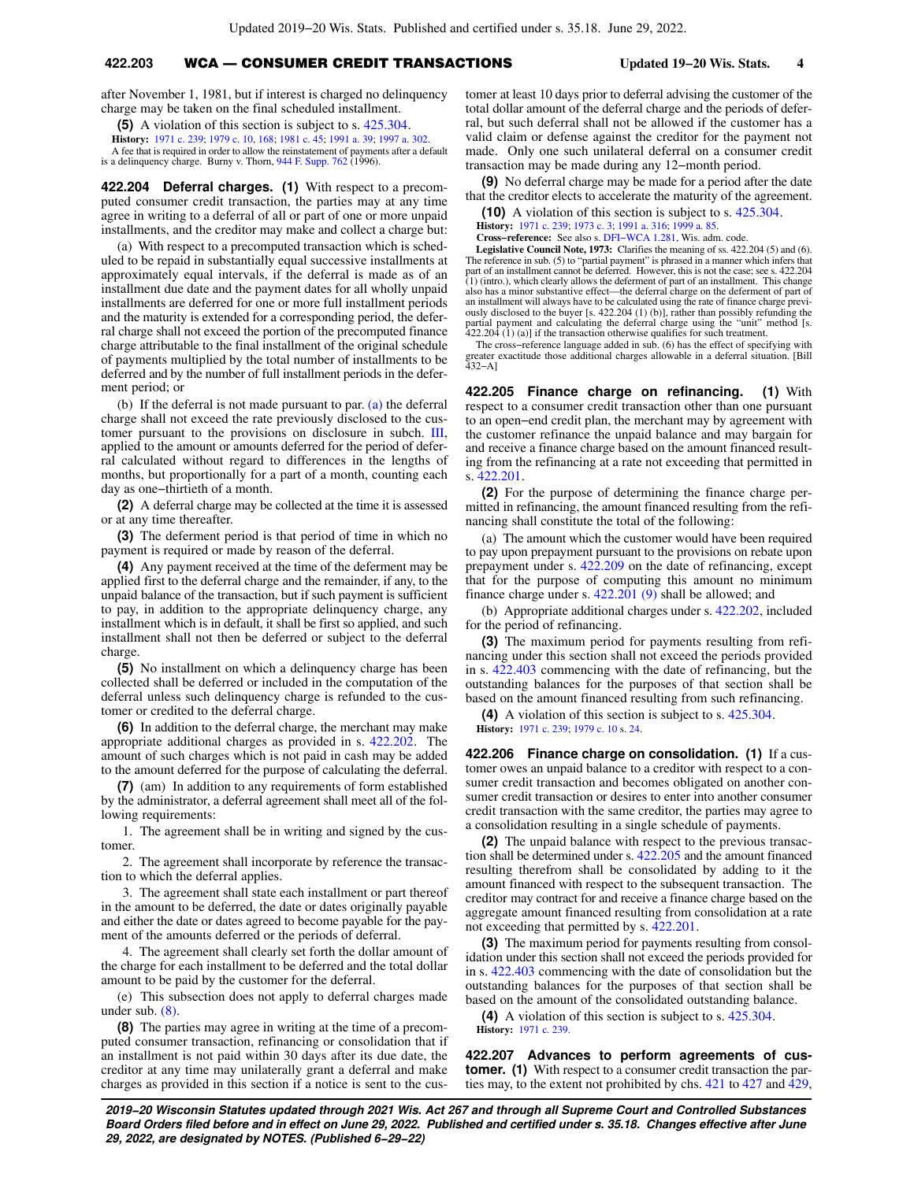## **422.203** WCA — CONSUMER CREDIT TRANSACTIONS **Updated 19−20 Wis. Stats. 4**

after November 1, 1981, but if interest is charged no delinquency charge may be taken on the final scheduled installment.

**(5)** A violation of this section is subject to s. [425.304](https://docs.legis.wisconsin.gov/document/statutes/425.304).

**History:** [1971 c. 239](https://docs.legis.wisconsin.gov/document/acts/1971/239); [1979 c. 10,](https://docs.legis.wisconsin.gov/document/acts/1979/10) [168;](https://docs.legis.wisconsin.gov/document/acts/1979/168) [1981 c. 45;](https://docs.legis.wisconsin.gov/document/acts/1981/45) [1991 a. 39;](https://docs.legis.wisconsin.gov/document/acts/1991/39) [1997 a. 302.](https://docs.legis.wisconsin.gov/document/acts/1997/302)

A fee that is required in order to allow the reinstatement of payments after a default is a delinquency charge. Burny v. Thorn, [944 F. Supp. 762](https://docs.legis.wisconsin.gov/document/courts/944%20F.%20Supp.%20762) (1996).

**422.204 Deferral charges. (1)** With respect to a precomputed consumer credit transaction, the parties may at any time agree in writing to a deferral of all or part of one or more unpaid installments, and the creditor may make and collect a charge but:

(a) With respect to a precomputed transaction which is scheduled to be repaid in substantially equal successive installments at approximately equal intervals, if the deferral is made as of an installment due date and the payment dates for all wholly unpaid installments are deferred for one or more full installment periods and the maturity is extended for a corresponding period, the deferral charge shall not exceed the portion of the precomputed finance charge attributable to the final installment of the original schedule of payments multiplied by the total number of installments to be deferred and by the number of full installment periods in the deferment period; or

(b) If the deferral is not made pursuant to par. [\(a\)](https://docs.legis.wisconsin.gov/document/statutes/422.204(1)(a)) the deferral charge shall not exceed the rate previously disclosed to the customer pursuant to the provisions on disclosure in subch. [III,](https://docs.legis.wisconsin.gov/document/statutes/subch.%20III%20of%20ch.%20422) applied to the amount or amounts deferred for the period of deferral calculated without regard to differences in the lengths of months, but proportionally for a part of a month, counting each day as one−thirtieth of a month.

**(2)** A deferral charge may be collected at the time it is assessed or at any time thereafter.

**(3)** The deferment period is that period of time in which no payment is required or made by reason of the deferral.

**(4)** Any payment received at the time of the deferment may be applied first to the deferral charge and the remainder, if any, to the unpaid balance of the transaction, but if such payment is sufficient to pay, in addition to the appropriate delinquency charge, any installment which is in default, it shall be first so applied, and such installment shall not then be deferred or subject to the deferral charge.

**(5)** No installment on which a delinquency charge has been collected shall be deferred or included in the computation of the deferral unless such delinquency charge is refunded to the customer or credited to the deferral charge.

**(6)** In addition to the deferral charge, the merchant may make appropriate additional charges as provided in s. [422.202](https://docs.legis.wisconsin.gov/document/statutes/422.202). The amount of such charges which is not paid in cash may be added to the amount deferred for the purpose of calculating the deferral.

**(7)** (am) In addition to any requirements of form established by the administrator, a deferral agreement shall meet all of the following requirements:

1. The agreement shall be in writing and signed by the customer.

2. The agreement shall incorporate by reference the transaction to which the deferral applies.

3. The agreement shall state each installment or part thereof in the amount to be deferred, the date or dates originally payable and either the date or dates agreed to become payable for the payment of the amounts deferred or the periods of deferral.

4. The agreement shall clearly set forth the dollar amount of the charge for each installment to be deferred and the total dollar amount to be paid by the customer for the deferral.

(e) This subsection does not apply to deferral charges made under sub. [\(8\)](https://docs.legis.wisconsin.gov/document/statutes/422.204(8)).

**(8)** The parties may agree in writing at the time of a precomputed consumer transaction, refinancing or consolidation that if an installment is not paid within 30 days after its due date, the creditor at any time may unilaterally grant a deferral and make charges as provided in this section if a notice is sent to the customer at least 10 days prior to deferral advising the customer of the total dollar amount of the deferral charge and the periods of deferral, but such deferral shall not be allowed if the customer has a valid claim or defense against the creditor for the payment not made. Only one such unilateral deferral on a consumer credit transaction may be made during any 12−month period.

**(9)** No deferral charge may be made for a period after the date that the creditor elects to accelerate the maturity of the agreement.

**(10)** A violation of this section is subject to s. [425.304.](https://docs.legis.wisconsin.gov/document/statutes/425.304)

**History:** [1971 c. 239;](https://docs.legis.wisconsin.gov/document/acts/1971/239) [1973 c. 3](https://docs.legis.wisconsin.gov/document/acts/1973/3); [1991 a. 316;](https://docs.legis.wisconsin.gov/document/acts/1991/316) [1999 a. 85](https://docs.legis.wisconsin.gov/document/acts/1999/85).

**Cross−reference:** See also s. [DFI−WCA 1.281](https://docs.legis.wisconsin.gov/document/administrativecode/DFI-WCA%201.281), Wis. adm. code.

**Legislative Council Note, 1973:** Clarifies the meaning of ss. 422.204 (5) and (6). The reference in sub. (5) to "partial payment" is phrased in a manner which infers that<br>part of an installment cannot be deferred. However, this is not the case; see s. 422.204<br>(1) (intro.), which clearly allows the deferm also has a minor substantive effect—the deferral charge on the deferment of part of an installment will always have to be calculated using the rate of finance charge previ-ously disclosed to the buyer [s. 422.204 (1) (b)], rather than possibly refunding the partial payment and calculating the deferral charge using the "unit" method [s.  $422.204$  (1) (a)] if the transaction otherwise qualifies for such treatment.

The cross–reference language added in sub. (6) has the effect of specifying with 432−A]<br>greater exactitude those additional charges allowable in a deferral situation. [Bill<br>432−A]

**422.205 Finance charge on refinancing. (1)** With respect to a consumer credit transaction other than one pursuant to an open−end credit plan, the merchant may by agreement with the customer refinance the unpaid balance and may bargain for and receive a finance charge based on the amount financed resulting from the refinancing at a rate not exceeding that permitted in s. [422.201.](https://docs.legis.wisconsin.gov/document/statutes/422.201)

**(2)** For the purpose of determining the finance charge permitted in refinancing, the amount financed resulting from the refinancing shall constitute the total of the following:

(a) The amount which the customer would have been required to pay upon prepayment pursuant to the provisions on rebate upon prepayment under s. [422.209](https://docs.legis.wisconsin.gov/document/statutes/422.209) on the date of refinancing, except that for the purpose of computing this amount no minimum finance charge under s. [422.201 \(9\)](https://docs.legis.wisconsin.gov/document/statutes/422.201(9)) shall be allowed; and

(b) Appropriate additional charges under s. [422.202](https://docs.legis.wisconsin.gov/document/statutes/422.202), included for the period of refinancing.

**(3)** The maximum period for payments resulting from refinancing under this section shall not exceed the periods provided in s. [422.403](https://docs.legis.wisconsin.gov/document/statutes/422.403) commencing with the date of refinancing, but the outstanding balances for the purposes of that section shall be based on the amount financed resulting from such refinancing.

**(4)** A violation of this section is subject to s. [425.304.](https://docs.legis.wisconsin.gov/document/statutes/425.304) **History:** [1971 c. 239;](https://docs.legis.wisconsin.gov/document/acts/1971/239) [1979 c. 10](https://docs.legis.wisconsin.gov/document/acts/1979/10) s. [24.](https://docs.legis.wisconsin.gov/document/acts/1979/10,%20s.%2024)

**422.206 Finance charge on consolidation. (1)** If a customer owes an unpaid balance to a creditor with respect to a consumer credit transaction and becomes obligated on another consumer credit transaction or desires to enter into another consumer credit transaction with the same creditor, the parties may agree to a consolidation resulting in a single schedule of payments.

**(2)** The unpaid balance with respect to the previous transaction shall be determined under s. [422.205](https://docs.legis.wisconsin.gov/document/statutes/422.205) and the amount financed resulting therefrom shall be consolidated by adding to it the amount financed with respect to the subsequent transaction. The creditor may contract for and receive a finance charge based on the aggregate amount financed resulting from consolidation at a rate not exceeding that permitted by s. [422.201](https://docs.legis.wisconsin.gov/document/statutes/422.201).

**(3)** The maximum period for payments resulting from consolidation under this section shall not exceed the periods provided for in s. [422.403](https://docs.legis.wisconsin.gov/document/statutes/422.403) commencing with the date of consolidation but the outstanding balances for the purposes of that section shall be based on the amount of the consolidated outstanding balance.

**(4)** A violation of this section is subject to s. [425.304.](https://docs.legis.wisconsin.gov/document/statutes/425.304) **History:** [1971 c. 239.](https://docs.legis.wisconsin.gov/document/acts/1971/239)

**422.207 Advances to perform agreements of customer. (1)** With respect to a consumer credit transaction the parties may, to the extent not prohibited by chs. [421](https://docs.legis.wisconsin.gov/document/statutes/ch.%20421) to [427](https://docs.legis.wisconsin.gov/document/statutes/ch.%20427) and [429,](https://docs.legis.wisconsin.gov/document/statutes/ch.%20429)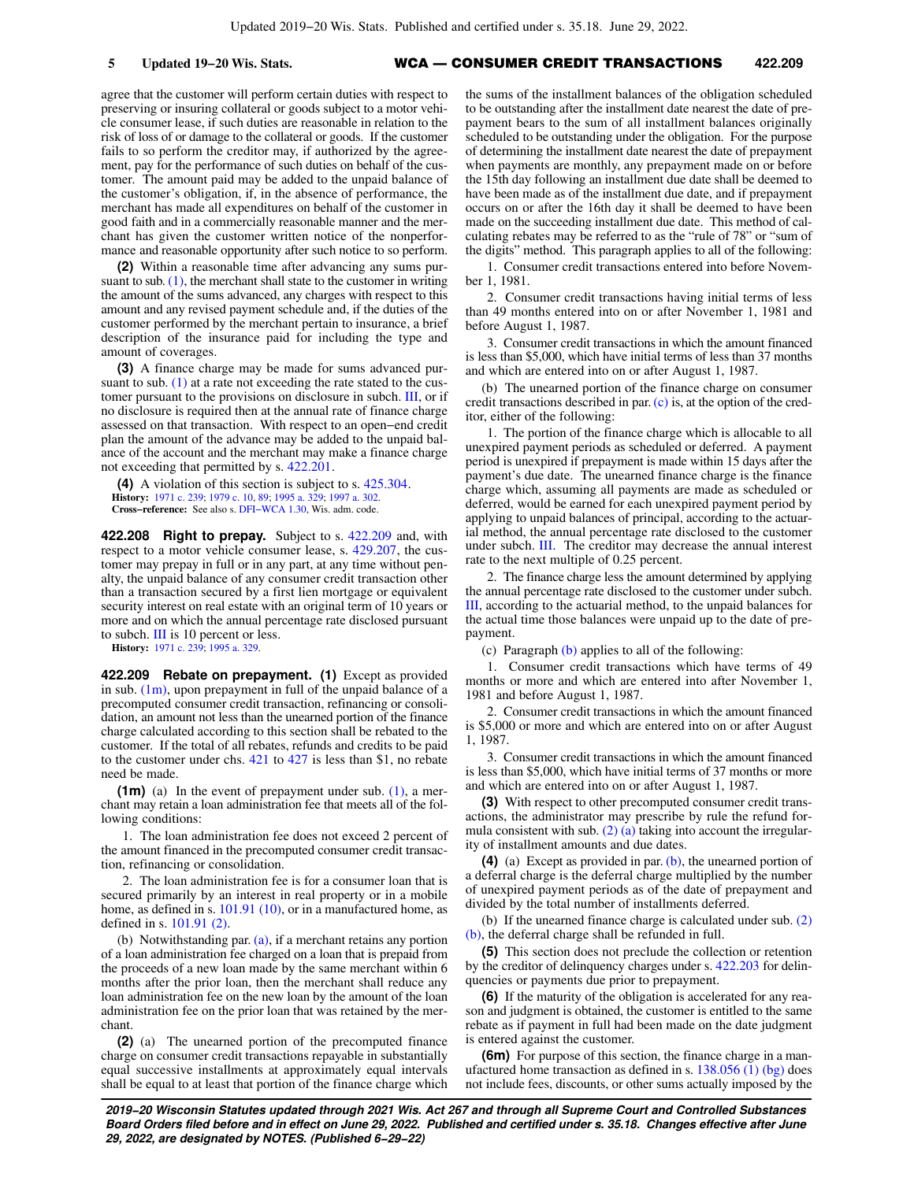agree that the customer will perform certain duties with respect to preserving or insuring collateral or goods subject to a motor vehicle consumer lease, if such duties are reasonable in relation to the risk of loss of or damage to the collateral or goods. If the customer fails to so perform the creditor may, if authorized by the agreement, pay for the performance of such duties on behalf of the customer. The amount paid may be added to the unpaid balance of the customer's obligation, if, in the absence of performance, the merchant has made all expenditures on behalf of the customer in good faith and in a commercially reasonable manner and the merchant has given the customer written notice of the nonperformance and reasonable opportunity after such notice to so perform.

**(2)** Within a reasonable time after advancing any sums pursuant to sub.  $(1)$ , the merchant shall state to the customer in writing the amount of the sums advanced, any charges with respect to this amount and any revised payment schedule and, if the duties of the customer performed by the merchant pertain to insurance, a brief description of the insurance paid for including the type and amount of coverages.

**(3)** A finance charge may be made for sums advanced pursuant to sub.  $(1)$  at a rate not exceeding the rate stated to the customer pursuant to the provisions on disclosure in subch. [III](https://docs.legis.wisconsin.gov/document/statutes/subch.%20III%20of%20ch.%20422), or if no disclosure is required then at the annual rate of finance charge assessed on that transaction. With respect to an open−end credit plan the amount of the advance may be added to the unpaid balance of the account and the merchant may make a finance charge not exceeding that permitted by s. [422.201](https://docs.legis.wisconsin.gov/document/statutes/422.201).

**(4)** A violation of this section is subject to s. [425.304](https://docs.legis.wisconsin.gov/document/statutes/425.304). **History:** [1971 c. 239](https://docs.legis.wisconsin.gov/document/acts/1971/239); [1979 c. 10,](https://docs.legis.wisconsin.gov/document/acts/1979/10) [89](https://docs.legis.wisconsin.gov/document/acts/1979/89); [1995 a. 329;](https://docs.legis.wisconsin.gov/document/acts/1995/329) [1997 a. 302](https://docs.legis.wisconsin.gov/document/acts/1997/302). **Cross−reference:** See also s. [DFI−WCA 1.30](https://docs.legis.wisconsin.gov/document/administrativecode/DFI-WCA%201.30), Wis. adm. code.

**422.208 Right to prepay.** Subject to s. [422.209](https://docs.legis.wisconsin.gov/document/statutes/422.209) and, with respect to a motor vehicle consumer lease, s. [429.207,](https://docs.legis.wisconsin.gov/document/statutes/429.207) the customer may prepay in full or in any part, at any time without penalty, the unpaid balance of any consumer credit transaction other than a transaction secured by a first lien mortgage or equivalent security interest on real estate with an original term of 10 years or more and on which the annual percentage rate disclosed pursuant to subch. [III](https://docs.legis.wisconsin.gov/document/statutes/subch.%20III%20of%20ch.%20422) is 10 percent or less.

**History:** [1971 c. 239](https://docs.legis.wisconsin.gov/document/acts/1971/239); [1995 a. 329](https://docs.legis.wisconsin.gov/document/acts/1995/329).

**422.209 Rebate on prepayment. (1)** Except as provided in sub.  $(1m)$ , upon prepayment in full of the unpaid balance of a precomputed consumer credit transaction, refinancing or consolidation, an amount not less than the unearned portion of the finance charge calculated according to this section shall be rebated to the customer. If the total of all rebates, refunds and credits to be paid to the customer under chs. [421](https://docs.legis.wisconsin.gov/document/statutes/ch.%20421) to [427](https://docs.legis.wisconsin.gov/document/statutes/ch.%20427) is less than \$1, no rebate need be made.

**(1m)** (a) In the event of prepayment under sub. [\(1\)](https://docs.legis.wisconsin.gov/document/statutes/422.209(1)), a merchant may retain a loan administration fee that meets all of the following conditions:

1. The loan administration fee does not exceed 2 percent of the amount financed in the precomputed consumer credit transaction, refinancing or consolidation.

2. The loan administration fee is for a consumer loan that is secured primarily by an interest in real property or in a mobile home, as defined in s. [101.91 \(10\),](https://docs.legis.wisconsin.gov/document/statutes/101.91(10)) or in a manufactured home, as defined in s. [101.91 \(2\)](https://docs.legis.wisconsin.gov/document/statutes/101.91(2)).

(b) Notwithstanding par. [\(a\)](https://docs.legis.wisconsin.gov/document/statutes/422.209(1m)(a)), if a merchant retains any portion of a loan administration fee charged on a loan that is prepaid from the proceeds of a new loan made by the same merchant within 6 months after the prior loan, then the merchant shall reduce any loan administration fee on the new loan by the amount of the loan administration fee on the prior loan that was retained by the merchant.

**(2)** (a) The unearned portion of the precomputed finance charge on consumer credit transactions repayable in substantially equal successive installments at approximately equal intervals shall be equal to at least that portion of the finance charge which

the sums of the installment balances of the obligation scheduled to be outstanding after the installment date nearest the date of prepayment bears to the sum of all installment balances originally scheduled to be outstanding under the obligation. For the purpose of determining the installment date nearest the date of prepayment when payments are monthly, any prepayment made on or before the 15th day following an installment due date shall be deemed to have been made as of the installment due date, and if prepayment occurs on or after the 16th day it shall be deemed to have been made on the succeeding installment due date. This method of calculating rebates may be referred to as the "rule of 78" or "sum of the digits" method. This paragraph applies to all of the following:

1. Consumer credit transactions entered into before November 1, 1981.

2. Consumer credit transactions having initial terms of less than 49 months entered into on or after November 1, 1981 and before August 1, 1987.

3. Consumer credit transactions in which the amount financed is less than \$5,000, which have initial terms of less than 37 months and which are entered into on or after August 1, 1987.

(b) The unearned portion of the finance charge on consumer credit transactions described in par. [\(c\)](https://docs.legis.wisconsin.gov/document/statutes/422.209(2)(c)) is, at the option of the creditor, either of the following:

1. The portion of the finance charge which is allocable to all unexpired payment periods as scheduled or deferred. A payment period is unexpired if prepayment is made within 15 days after the payment's due date. The unearned finance charge is the finance charge which, assuming all payments are made as scheduled or deferred, would be earned for each unexpired payment period by applying to unpaid balances of principal, according to the actuarial method, the annual percentage rate disclosed to the customer under subch. [III](https://docs.legis.wisconsin.gov/document/statutes/subch.%20III%20of%20ch.%20422). The creditor may decrease the annual interest rate to the next multiple of 0.25 percent.

2. The finance charge less the amount determined by applying the annual percentage rate disclosed to the customer under subch. [III,](https://docs.legis.wisconsin.gov/document/statutes/subch.%20III%20of%20ch.%20422) according to the actuarial method, to the unpaid balances for the actual time those balances were unpaid up to the date of prepayment.

(c) Paragraph [\(b\)](https://docs.legis.wisconsin.gov/document/statutes/422.209(2)(b)) applies to all of the following:

1. Consumer credit transactions which have terms of 49 months or more and which are entered into after November 1, 1981 and before August 1, 1987.

2. Consumer credit transactions in which the amount financed is \$5,000 or more and which are entered into on or after August 1, 1987.

3. Consumer credit transactions in which the amount financed is less than \$5,000, which have initial terms of 37 months or more and which are entered into on or after August 1, 1987.

**(3)** With respect to other precomputed consumer credit transactions, the administrator may prescribe by rule the refund formula consistent with sub. [\(2\) \(a\)](https://docs.legis.wisconsin.gov/document/statutes/422.209(2)(a)) taking into account the irregularity of installment amounts and due dates.

**(4)** (a) Except as provided in par. [\(b\),](https://docs.legis.wisconsin.gov/document/statutes/422.209(4)(b)) the unearned portion of a deferral charge is the deferral charge multiplied by the number of unexpired payment periods as of the date of prepayment and divided by the total number of installments deferred.

(b) If the unearned finance charge is calculated under sub. [\(2\)](https://docs.legis.wisconsin.gov/document/statutes/422.209(2)(b)) [\(b\),](https://docs.legis.wisconsin.gov/document/statutes/422.209(2)(b)) the deferral charge shall be refunded in full.

**(5)** This section does not preclude the collection or retention by the creditor of delinquency charges under s. [422.203](https://docs.legis.wisconsin.gov/document/statutes/422.203) for delinquencies or payments due prior to prepayment.

**(6)** If the maturity of the obligation is accelerated for any reason and judgment is obtained, the customer is entitled to the same rebate as if payment in full had been made on the date judgment is entered against the customer.

**(6m)** For purpose of this section, the finance charge in a manufactured home transaction as defined in s.  $138.056$  (1) (bg) does not include fees, discounts, or other sums actually imposed by the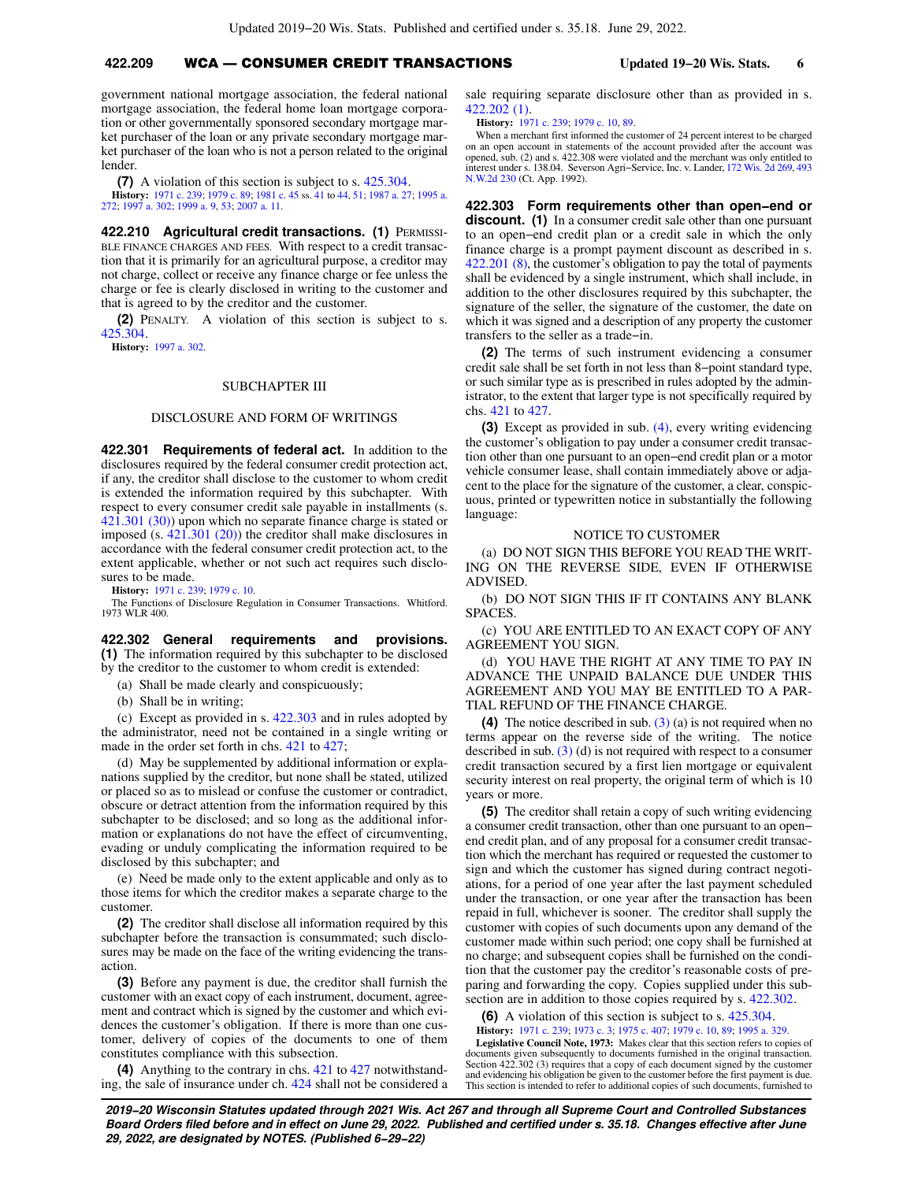# **422.209** WCA — CONSUMER CREDIT TRANSACTIONS **Updated 19−20 Wis. Stats. 6**

government national mortgage association, the federal national mortgage association, the federal home loan mortgage corporation or other governmentally sponsored secondary mortgage market purchaser of the loan or any private secondary mortgage market purchaser of the loan who is not a person related to the original lender.

**(7)** A violation of this section is subject to s. [425.304](https://docs.legis.wisconsin.gov/document/statutes/425.304).

**History:** [1971 c. 239](https://docs.legis.wisconsin.gov/document/acts/1971/239); [1979 c. 89;](https://docs.legis.wisconsin.gov/document/acts/1979/89) [1981 c. 45](https://docs.legis.wisconsin.gov/document/acts/1981/45) ss. [41](https://docs.legis.wisconsin.gov/document/acts/1981/45,%20s.%2041) to [44](https://docs.legis.wisconsin.gov/document/acts/1981/45,%20s.%2044), [51;](https://docs.legis.wisconsin.gov/document/acts/1981/45,%20s.%2051) [1987 a. 27](https://docs.legis.wisconsin.gov/document/acts/1987/27); [1995 a.](https://docs.legis.wisconsin.gov/document/acts/1995/272) [272](https://docs.legis.wisconsin.gov/document/acts/1995/272); [1997 a. 302;](https://docs.legis.wisconsin.gov/document/acts/1997/302) [1999 a. 9,](https://docs.legis.wisconsin.gov/document/acts/1999/9) [53](https://docs.legis.wisconsin.gov/document/acts/1999/53); [2007 a. 11](https://docs.legis.wisconsin.gov/document/acts/2007/11).

**422.210 Agricultural credit transactions. (1) PERMISSI-**BLE FINANCE CHARGES AND FEES. With respect to a credit transaction that it is primarily for an agricultural purpose, a creditor may not charge, collect or receive any finance charge or fee unless the charge or fee is clearly disclosed in writing to the customer and that is agreed to by the creditor and the customer.

**(2)** PENALTY. A violation of this section is subject to s. [425.304](https://docs.legis.wisconsin.gov/document/statutes/425.304).

**History:** [1997 a. 302](https://docs.legis.wisconsin.gov/document/acts/1997/302).

## SUBCHAPTER III

## DISCLOSURE AND FORM OF WRITINGS

**422.301 Requirements of federal act.** In addition to the disclosures required by the federal consumer credit protection act, if any, the creditor shall disclose to the customer to whom credit is extended the information required by this subchapter. With respect to every consumer credit sale payable in installments (s. [421.301 \(30\)](https://docs.legis.wisconsin.gov/document/statutes/421.301(30))) upon which no separate finance charge is stated or imposed (s. [421.301 \(20\)](https://docs.legis.wisconsin.gov/document/statutes/421.301(20))) the creditor shall make disclosures in accordance with the federal consumer credit protection act, to the extent applicable, whether or not such act requires such disclosures to be made.

**History:** [1971 c. 239](https://docs.legis.wisconsin.gov/document/acts/1971/239); [1979 c. 10.](https://docs.legis.wisconsin.gov/document/acts/1979/10)

The Functions of Disclosure Regulation in Consumer Transactions. Whitford. 1973 WLR 400.

**422.302 General requirements and provisions. (1)** The information required by this subchapter to be disclosed by the creditor to the customer to whom credit is extended:

(a) Shall be made clearly and conspicuously;

(b) Shall be in writing;

(c) Except as provided in s. [422.303](https://docs.legis.wisconsin.gov/document/statutes/422.303) and in rules adopted by the administrator, need not be contained in a single writing or made in the order set forth in chs. [421](https://docs.legis.wisconsin.gov/document/statutes/ch.%20421) to [427](https://docs.legis.wisconsin.gov/document/statutes/ch.%20427);

(d) May be supplemented by additional information or explanations supplied by the creditor, but none shall be stated, utilized or placed so as to mislead or confuse the customer or contradict, obscure or detract attention from the information required by this subchapter to be disclosed; and so long as the additional information or explanations do not have the effect of circumventing, evading or unduly complicating the information required to be disclosed by this subchapter; and

(e) Need be made only to the extent applicable and only as to those items for which the creditor makes a separate charge to the customer.

**(2)** The creditor shall disclose all information required by this subchapter before the transaction is consummated; such disclosures may be made on the face of the writing evidencing the transaction

**(3)** Before any payment is due, the creditor shall furnish the customer with an exact copy of each instrument, document, agreement and contract which is signed by the customer and which evidences the customer's obligation. If there is more than one customer, delivery of copies of the documents to one of them constitutes compliance with this subsection.

**(4)** Anything to the contrary in chs. [421](https://docs.legis.wisconsin.gov/document/statutes/ch.%20421) to [427](https://docs.legis.wisconsin.gov/document/statutes/ch.%20427) notwithstanding, the sale of insurance under ch. [424](https://docs.legis.wisconsin.gov/document/statutes/ch.%20424) shall not be considered a sale requiring separate disclosure other than as provided in s. [422.202 \(1\)](https://docs.legis.wisconsin.gov/document/statutes/422.202(1)).

**History:** [1971 c. 239;](https://docs.legis.wisconsin.gov/document/acts/1971/239) [1979 c. 10,](https://docs.legis.wisconsin.gov/document/acts/1979/10) [89](https://docs.legis.wisconsin.gov/document/acts/1979/89).

When a merchant first informed the customer of 24 percent interest to be charged on an open account in statements of the account provided after the account was opened, sub. (2) and s. 422.308 were violated and the merchant was only entitled to interest under s. 138.04. Severson Agri−Service, Inc. v. Lander, [172 Wis. 2d 269,](https://docs.legis.wisconsin.gov/document/courts/172%20Wis.%202d%20269) [493](https://docs.legis.wisconsin.gov/document/courts/493%20N.W.2d%20230) [N.W.2d 230](https://docs.legis.wisconsin.gov/document/courts/493%20N.W.2d%20230) (Ct. App. 1992).

**422.303 Form requirements other than open−end or discount. (1)** In a consumer credit sale other than one pursuant to an open−end credit plan or a credit sale in which the only finance charge is a prompt payment discount as described in s. [422.201 \(8\)](https://docs.legis.wisconsin.gov/document/statutes/422.201(8)), the customer's obligation to pay the total of payments shall be evidenced by a single instrument, which shall include, in addition to the other disclosures required by this subchapter, the signature of the seller, the signature of the customer, the date on which it was signed and a description of any property the customer transfers to the seller as a trade−in.

**(2)** The terms of such instrument evidencing a consumer credit sale shall be set forth in not less than 8−point standard type, or such similar type as is prescribed in rules adopted by the administrator, to the extent that larger type is not specifically required by chs. [421](https://docs.legis.wisconsin.gov/document/statutes/ch.%20421) to [427](https://docs.legis.wisconsin.gov/document/statutes/ch.%20427).

**(3)** Except as provided in sub. [\(4\)](https://docs.legis.wisconsin.gov/document/statutes/422.303(4)), every writing evidencing the customer's obligation to pay under a consumer credit transaction other than one pursuant to an open−end credit plan or a motor vehicle consumer lease, shall contain immediately above or adjacent to the place for the signature of the customer, a clear, conspicuous, printed or typewritten notice in substantially the following language:

#### NOTICE TO CUSTOMER

(a) DO NOT SIGN THIS BEFORE YOU READ THE WRIT-ING ON THE REVERSE SIDE, EVEN IF OTHERWISE ADVISED.

(b) DO NOT SIGN THIS IF IT CONTAINS ANY BLANK SPACES.

(c) YOU ARE ENTITLED TO AN EXACT COPY OF ANY AGREEMENT YOU SIGN.

(d) YOU HAVE THE RIGHT AT ANY TIME TO PAY IN ADVANCE THE UNPAID BALANCE DUE UNDER THIS AGREEMENT AND YOU MAY BE ENTITLED TO A PAR-TIAL REFUND OF THE FINANCE CHARGE.

**(4)** The notice described in sub. [\(3\)](https://docs.legis.wisconsin.gov/document/statutes/422.303(3)) (a) is not required when no terms appear on the reverse side of the writing. The notice described in sub. [\(3\)](https://docs.legis.wisconsin.gov/document/statutes/422.303(3)) (d) is not required with respect to a consumer credit transaction secured by a first lien mortgage or equivalent security interest on real property, the original term of which is 10 years or more.

**(5)** The creditor shall retain a copy of such writing evidencing a consumer credit transaction, other than one pursuant to an open− end credit plan, and of any proposal for a consumer credit transaction which the merchant has required or requested the customer to sign and which the customer has signed during contract negotiations, for a period of one year after the last payment scheduled under the transaction, or one year after the transaction has been repaid in full, whichever is sooner. The creditor shall supply the customer with copies of such documents upon any demand of the customer made within such period; one copy shall be furnished at no charge; and subsequent copies shall be furnished on the condition that the customer pay the creditor's reasonable costs of preparing and forwarding the copy. Copies supplied under this subsection are in addition to those copies required by s.  $422.302$ .

**(6)** A violation of this section is subject to s. [425.304.](https://docs.legis.wisconsin.gov/document/statutes/425.304) **History:** [1971 c. 239;](https://docs.legis.wisconsin.gov/document/acts/1971/239) [1973 c. 3](https://docs.legis.wisconsin.gov/document/acts/1973/3); [1975 c. 407;](https://docs.legis.wisconsin.gov/document/acts/1975/407) [1979 c. 10](https://docs.legis.wisconsin.gov/document/acts/1979/10), [89;](https://docs.legis.wisconsin.gov/document/acts/1979/89) [1995 a. 329](https://docs.legis.wisconsin.gov/document/acts/1995/329).

**Legislative Council Note, 1973:** Makes clear that this section refers to copies of documents given subsequently to documents furnished in the original transaction. Section 422.302 (3) requires that a copy of each document signed by the customer and evidencing his obligation be given to the customer before the first payment is due. This section is intended to refer to additional copies of such documents, furnished to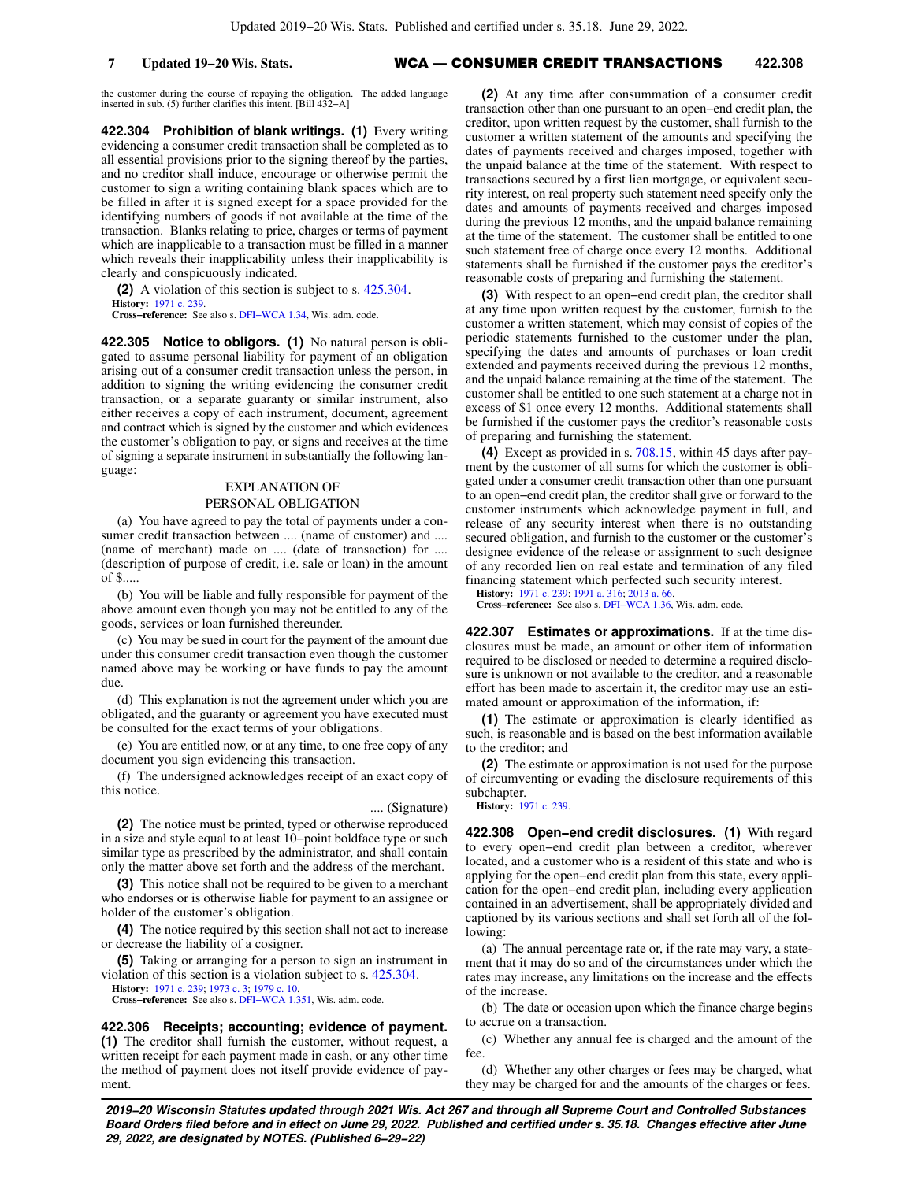## **7 Updated 19−20 Wis. Stats.** WCA — CONSUMER CREDIT TRANSACTIONS **422.308**

the customer during the course of repaying the obligation. The added language inserted in sub. (5) further clarifies this intent. [Bill 432−A]

**422.304 Prohibition of blank writings. (1)** Every writing evidencing a consumer credit transaction shall be completed as to all essential provisions prior to the signing thereof by the parties, and no creditor shall induce, encourage or otherwise permit the customer to sign a writing containing blank spaces which are to be filled in after it is signed except for a space provided for the identifying numbers of goods if not available at the time of the transaction. Blanks relating to price, charges or terms of payment which are inapplicable to a transaction must be filled in a manner which reveals their inapplicability unless their inapplicability is clearly and conspicuously indicated.

**(2)** A violation of this section is subject to s. [425.304](https://docs.legis.wisconsin.gov/document/statutes/425.304). **History:** [1971 c. 239](https://docs.legis.wisconsin.gov/document/acts/1971/239).

**Cross−reference:** See also s. [DFI−WCA 1.34](https://docs.legis.wisconsin.gov/document/administrativecode/DFI-WCA%201.34), Wis. adm. code.

**422.305 Notice to obligors. (1)** No natural person is obligated to assume personal liability for payment of an obligation arising out of a consumer credit transaction unless the person, in addition to signing the writing evidencing the consumer credit transaction, or a separate guaranty or similar instrument, also either receives a copy of each instrument, document, agreement and contract which is signed by the customer and which evidences the customer's obligation to pay, or signs and receives at the time of signing a separate instrument in substantially the following language:

#### EXPLANATION OF

#### PERSONAL OBLIGATION

(a) You have agreed to pay the total of payments under a consumer credit transaction between .... (name of customer) and .... (name of merchant) made on .... (date of transaction) for .... (description of purpose of credit, i.e. sale or loan) in the amount of \$.....

(b) You will be liable and fully responsible for payment of the above amount even though you may not be entitled to any of the goods, services or loan furnished thereunder.

(c) You may be sued in court for the payment of the amount due under this consumer credit transaction even though the customer named above may be working or have funds to pay the amount due.

(d) This explanation is not the agreement under which you are obligated, and the guaranty or agreement you have executed must be consulted for the exact terms of your obligations.

(e) You are entitled now, or at any time, to one free copy of any document you sign evidencing this transaction.

(f) The undersigned acknowledges receipt of an exact copy of this notice.

## .... (Signature)

**(2)** The notice must be printed, typed or otherwise reproduced in a size and style equal to at least 10−point boldface type or such similar type as prescribed by the administrator, and shall contain only the matter above set forth and the address of the merchant.

**(3)** This notice shall not be required to be given to a merchant who endorses or is otherwise liable for payment to an assignee or holder of the customer's obligation.

**(4)** The notice required by this section shall not act to increase or decrease the liability of a cosigner.

**(5)** Taking or arranging for a person to sign an instrument in violation of this section is a violation subject to s. [425.304.](https://docs.legis.wisconsin.gov/document/statutes/425.304)

**History:** [1971 c. 239](https://docs.legis.wisconsin.gov/document/acts/1971/239); [1973 c. 3;](https://docs.legis.wisconsin.gov/document/acts/1973/3) [1979 c. 10](https://docs.legis.wisconsin.gov/document/acts/1979/10). **Cross−reference:** See also s. [DFI−WCA 1.351,](https://docs.legis.wisconsin.gov/document/administrativecode/DFI-WCA%201.351) Wis. adm. code.

### **422.306 Receipts; accounting; evidence of payment.**

**(1)** The creditor shall furnish the customer, without request, a written receipt for each payment made in cash, or any other time the method of payment does not itself provide evidence of payment.

**(2)** At any time after consummation of a consumer credit transaction other than one pursuant to an open−end credit plan, the creditor, upon written request by the customer, shall furnish to the customer a written statement of the amounts and specifying the dates of payments received and charges imposed, together with the unpaid balance at the time of the statement. With respect to transactions secured by a first lien mortgage, or equivalent security interest, on real property such statement need specify only the dates and amounts of payments received and charges imposed during the previous 12 months, and the unpaid balance remaining at the time of the statement. The customer shall be entitled to one such statement free of charge once every 12 months. Additional statements shall be furnished if the customer pays the creditor's reasonable costs of preparing and furnishing the statement.

**(3)** With respect to an open−end credit plan, the creditor shall at any time upon written request by the customer, furnish to the customer a written statement, which may consist of copies of the periodic statements furnished to the customer under the plan, specifying the dates and amounts of purchases or loan credit extended and payments received during the previous 12 months, and the unpaid balance remaining at the time of the statement. The customer shall be entitled to one such statement at a charge not in excess of \$1 once every 12 months. Additional statements shall be furnished if the customer pays the creditor's reasonable costs of preparing and furnishing the statement.

**(4)** Except as provided in s. [708.15,](https://docs.legis.wisconsin.gov/document/statutes/708.15) within 45 days after payment by the customer of all sums for which the customer is obligated under a consumer credit transaction other than one pursuant to an open−end credit plan, the creditor shall give or forward to the customer instruments which acknowledge payment in full, and release of any security interest when there is no outstanding secured obligation, and furnish to the customer or the customer's designee evidence of the release or assignment to such designee of any recorded lien on real estate and termination of any filed financing statement which perfected such security interest.

**History:** [1971 c. 239;](https://docs.legis.wisconsin.gov/document/acts/1971/239) [1991 a. 316](https://docs.legis.wisconsin.gov/document/acts/1991/316); [2013 a. 66](https://docs.legis.wisconsin.gov/document/acts/2013/66). **Cross−reference:** See also s. [DFI−WCA 1.36,](https://docs.legis.wisconsin.gov/document/administrativecode/DFI-WCA%201.36) Wis. adm. code.

**422.307 Estimates or approximations.** If at the time disclosures must be made, an amount or other item of information required to be disclosed or needed to determine a required disclosure is unknown or not available to the creditor, and a reasonable effort has been made to ascertain it, the creditor may use an estimated amount or approximation of the information, if:

**(1)** The estimate or approximation is clearly identified as such, is reasonable and is based on the best information available to the creditor; and

**(2)** The estimate or approximation is not used for the purpose of circumventing or evading the disclosure requirements of this subchapter.

**History:** [1971 c. 239.](https://docs.legis.wisconsin.gov/document/acts/1971/239)

**422.308 Open−end credit disclosures. (1)** With regard to every open−end credit plan between a creditor, wherever located, and a customer who is a resident of this state and who is applying for the open−end credit plan from this state, every application for the open−end credit plan, including every application contained in an advertisement, shall be appropriately divided and captioned by its various sections and shall set forth all of the following:

(a) The annual percentage rate or, if the rate may vary, a statement that it may do so and of the circumstances under which the rates may increase, any limitations on the increase and the effects of the increase.

(b) The date or occasion upon which the finance charge begins to accrue on a transaction.

(c) Whether any annual fee is charged and the amount of the fee.

(d) Whether any other charges or fees may be charged, what they may be charged for and the amounts of the charges or fees.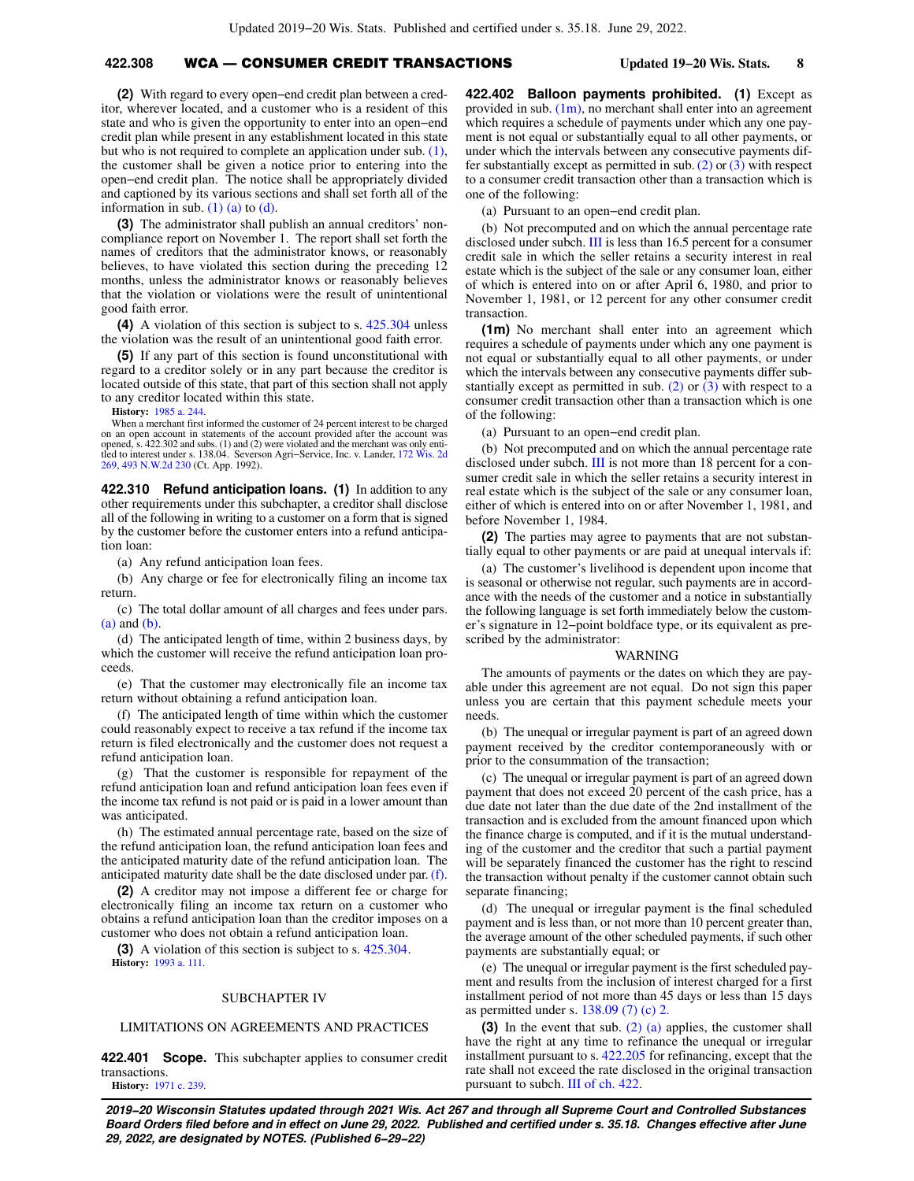## **422.308** WCA — CONSUMER CREDIT TRANSACTIONS **Updated 19−20 Wis. Stats. 8**

**(2)** With regard to every open−end credit plan between a creditor, wherever located, and a customer who is a resident of this state and who is given the opportunity to enter into an open−end credit plan while present in any establishment located in this state but who is not required to complete an application under sub. [\(1\),](https://docs.legis.wisconsin.gov/document/statutes/422.308(1)) the customer shall be given a notice prior to entering into the open−end credit plan. The notice shall be appropriately divided and captioned by its various sections and shall set forth all of the information in sub.  $(1)$  (a) to  $(d)$ .

**(3)** The administrator shall publish an annual creditors' noncompliance report on November 1. The report shall set forth the names of creditors that the administrator knows, or reasonably believes, to have violated this section during the preceding 12 months, unless the administrator knows or reasonably believes that the violation or violations were the result of unintentional good faith error.

**(4)** A violation of this section is subject to s. [425.304](https://docs.legis.wisconsin.gov/document/statutes/425.304) unless the violation was the result of an unintentional good faith error.

**(5)** If any part of this section is found unconstitutional with regard to a creditor solely or in any part because the creditor is located outside of this state, that part of this section shall not apply to any creditor located within this state.

**History:** [1985 a. 244](https://docs.legis.wisconsin.gov/document/acts/1985/244).

When a merchant first informed the customer of 24 percent interest to be charged on an open account in statements of the account provided after the account was opened, s. 422.302 and subs. (1) and (2) were violated and the merchant was only entitled to interest under s. 138.04. Severson Agri−Service, Inc. v. Lander, [172 Wis. 2d](https://docs.legis.wisconsin.gov/document/courts/172%20Wis.%202d%20269) [269](https://docs.legis.wisconsin.gov/document/courts/172%20Wis.%202d%20269), [493 N.W.2d 230](https://docs.legis.wisconsin.gov/document/courts/493%20N.W.2d%20230) (Ct. App. 1992).

**422.310 Refund anticipation loans. (1)** In addition to any other requirements under this subchapter, a creditor shall disclose all of the following in writing to a customer on a form that is signed by the customer before the customer enters into a refund anticipation loan:

(a) Any refund anticipation loan fees.

(b) Any charge or fee for electronically filing an income tax return.

(c) The total dollar amount of all charges and fees under pars. [\(a\)](https://docs.legis.wisconsin.gov/document/statutes/422.310(1)(a)) and [\(b\).](https://docs.legis.wisconsin.gov/document/statutes/422.310(1)(b))

(d) The anticipated length of time, within 2 business days, by which the customer will receive the refund anticipation loan proceeds.

(e) That the customer may electronically file an income tax return without obtaining a refund anticipation loan.

(f) The anticipated length of time within which the customer could reasonably expect to receive a tax refund if the income tax return is filed electronically and the customer does not request a refund anticipation loan.

(g) That the customer is responsible for repayment of the refund anticipation loan and refund anticipation loan fees even if the income tax refund is not paid or is paid in a lower amount than was anticipated.

(h) The estimated annual percentage rate, based on the size of the refund anticipation loan, the refund anticipation loan fees and the anticipated maturity date of the refund anticipation loan. The anticipated maturity date shall be the date disclosed under par. [\(f\).](https://docs.legis.wisconsin.gov/document/statutes/422.310(1)(f))

**(2)** A creditor may not impose a different fee or charge for electronically filing an income tax return on a customer who obtains a refund anticipation loan than the creditor imposes on a customer who does not obtain a refund anticipation loan.

**(3)** A violation of this section is subject to s. [425.304](https://docs.legis.wisconsin.gov/document/statutes/425.304). **History:** [1993 a. 111.](https://docs.legis.wisconsin.gov/document/acts/1993/111)

#### SUBCHAPTER IV

#### LIMITATIONS ON AGREEMENTS AND PRACTICES

**422.401 Scope.** This subchapter applies to consumer credit transactions. **History:** [1971 c. 239](https://docs.legis.wisconsin.gov/document/acts/1971/239).

**422.402 Balloon payments prohibited. (1)** Except as provided in sub.  $(1m)$ , no merchant shall enter into an agreement which requires a schedule of payments under which any one payment is not equal or substantially equal to all other payments, or under which the intervals between any consecutive payments dif-fer substantially except as permitted in sub. [\(2\)](https://docs.legis.wisconsin.gov/document/statutes/422.402(2)) or  $(3)$  with respect to a consumer credit transaction other than a transaction which is one of the following:

(a) Pursuant to an open−end credit plan.

(b) Not precomputed and on which the annual percentage rate disclosed under subch. [III](https://docs.legis.wisconsin.gov/document/statutes/subch.%20III%20of%20ch.%20422) is less than 16.5 percent for a consumer credit sale in which the seller retains a security interest in real estate which is the subject of the sale or any consumer loan, either of which is entered into on or after April 6, 1980, and prior to November 1, 1981, or 12 percent for any other consumer credit transaction.

**(1m)** No merchant shall enter into an agreement which requires a schedule of payments under which any one payment is not equal or substantially equal to all other payments, or under which the intervals between any consecutive payments differ sub-stantially except as permitted in sub. [\(2\)](https://docs.legis.wisconsin.gov/document/statutes/422.402(2)) or  $\overline{(3)}$  $\overline{(3)}$  $\overline{(3)}$  with respect to a consumer credit transaction other than a transaction which is one of the following:

(a) Pursuant to an open−end credit plan.

(b) Not precomputed and on which the annual percentage rate disclosed under subch. [III](https://docs.legis.wisconsin.gov/document/statutes/subch.%20III%20of%20ch.%20422) is not more than 18 percent for a consumer credit sale in which the seller retains a security interest in real estate which is the subject of the sale or any consumer loan, either of which is entered into on or after November 1, 1981, and before November 1, 1984.

**(2)** The parties may agree to payments that are not substantially equal to other payments or are paid at unequal intervals if:

(a) The customer's livelihood is dependent upon income that is seasonal or otherwise not regular, such payments are in accordance with the needs of the customer and a notice in substantially the following language is set forth immediately below the customer's signature in 12−point boldface type, or its equivalent as prescribed by the administrator:

#### WARNING

The amounts of payments or the dates on which they are payable under this agreement are not equal. Do not sign this paper unless you are certain that this payment schedule meets your needs.

(b) The unequal or irregular payment is part of an agreed down payment received by the creditor contemporaneously with or prior to the consummation of the transaction;

(c) The unequal or irregular payment is part of an agreed down payment that does not exceed 20 percent of the cash price, has a due date not later than the due date of the 2nd installment of the transaction and is excluded from the amount financed upon which the finance charge is computed, and if it is the mutual understanding of the customer and the creditor that such a partial payment will be separately financed the customer has the right to rescind the transaction without penalty if the customer cannot obtain such separate financing;

(d) The unequal or irregular payment is the final scheduled payment and is less than, or not more than 10 percent greater than, the average amount of the other scheduled payments, if such other payments are substantially equal; or

(e) The unequal or irregular payment is the first scheduled payment and results from the inclusion of interest charged for a first installment period of not more than 45 days or less than 15 days as permitted under s. [138.09 \(7\) \(c\) 2.](https://docs.legis.wisconsin.gov/document/statutes/138.09(7)(c)2.)

**(3)** In the event that sub. [\(2\) \(a\)](https://docs.legis.wisconsin.gov/document/statutes/422.402(2)(a)) applies, the customer shall have the right at any time to refinance the unequal or irregular installment pursuant to s. [422.205](https://docs.legis.wisconsin.gov/document/statutes/422.205) for refinancing, except that the rate shall not exceed the rate disclosed in the original transaction pursuant to subch. [III of ch. 422](https://docs.legis.wisconsin.gov/document/statutes/subch.%20III%20of%20ch.%20422).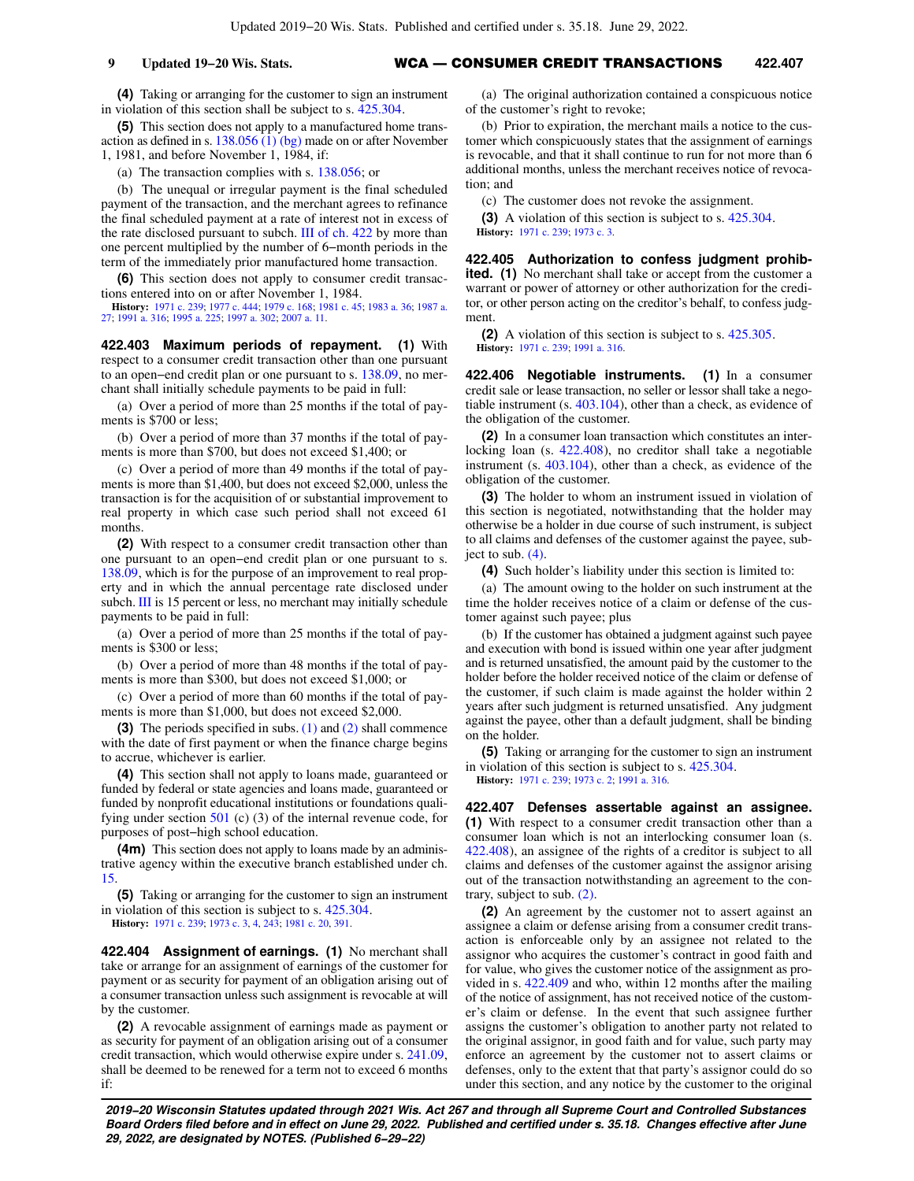**(4)** Taking or arranging for the customer to sign an instrument in violation of this section shall be subject to s. [425.304](https://docs.legis.wisconsin.gov/document/statutes/425.304).

**(5)** This section does not apply to a manufactured home transaction as defined in s. [138.056 \(1\) \(bg\)](https://docs.legis.wisconsin.gov/document/statutes/138.056(1)(bg)) made on or after November 1, 1981, and before November 1, 1984, if:

(a) The transaction complies with s. [138.056](https://docs.legis.wisconsin.gov/document/statutes/138.056); or

(b) The unequal or irregular payment is the final scheduled payment of the transaction, and the merchant agrees to refinance the final scheduled payment at a rate of interest not in excess of the rate disclosed pursuant to subch. [III of ch. 422](https://docs.legis.wisconsin.gov/document/statutes/subch.%20III%20of%20ch.%20422) by more than one percent multiplied by the number of 6−month periods in the term of the immediately prior manufactured home transaction.

**(6)** This section does not apply to consumer credit transactions entered into on or after November 1, 1984.

**History:** [1971 c. 239](https://docs.legis.wisconsin.gov/document/acts/1971/239); [1977 c. 444;](https://docs.legis.wisconsin.gov/document/acts/1977/444) [1979 c. 168;](https://docs.legis.wisconsin.gov/document/acts/1979/168) [1981 c. 45;](https://docs.legis.wisconsin.gov/document/acts/1981/45) [1983 a. 36;](https://docs.legis.wisconsin.gov/document/acts/1983/36) [1987 a.](https://docs.legis.wisconsin.gov/document/acts/1987/27) [27;](https://docs.legis.wisconsin.gov/document/acts/1987/27) [1991 a. 316](https://docs.legis.wisconsin.gov/document/acts/1991/316); [1995 a. 225](https://docs.legis.wisconsin.gov/document/acts/1995/225); [1997 a. 302;](https://docs.legis.wisconsin.gov/document/acts/1997/302) [2007 a. 11.](https://docs.legis.wisconsin.gov/document/acts/2007/11)

**422.403 Maximum periods of repayment. (1)** With respect to a consumer credit transaction other than one pursuant to an open−end credit plan or one pursuant to s. [138.09](https://docs.legis.wisconsin.gov/document/statutes/138.09), no merchant shall initially schedule payments to be paid in full:

(a) Over a period of more than 25 months if the total of payments is \$700 or less;

(b) Over a period of more than 37 months if the total of payments is more than \$700, but does not exceed \$1,400; or

(c) Over a period of more than 49 months if the total of payments is more than \$1,400, but does not exceed \$2,000, unless the transaction is for the acquisition of or substantial improvement to real property in which case such period shall not exceed 61 months.

**(2)** With respect to a consumer credit transaction other than one pursuant to an open−end credit plan or one pursuant to s. [138.09,](https://docs.legis.wisconsin.gov/document/statutes/138.09) which is for the purpose of an improvement to real property and in which the annual percentage rate disclosed under subch. [III](https://docs.legis.wisconsin.gov/document/statutes/subch.%20III%20of%20ch.%20422) is 15 percent or less, no merchant may initially schedule payments to be paid in full:

(a) Over a period of more than 25 months if the total of payments is \$300 or less;

(b) Over a period of more than 48 months if the total of payments is more than \$300, but does not exceed \$1,000; or

(c) Over a period of more than 60 months if the total of payments is more than \$1,000, but does not exceed \$2,000.

**(3)** The periods specified in subs. [\(1\)](https://docs.legis.wisconsin.gov/document/statutes/422.403(1)) and [\(2\)](https://docs.legis.wisconsin.gov/document/statutes/422.403(2)) shall commence with the date of first payment or when the finance charge begins to accrue, whichever is earlier.

**(4)** This section shall not apply to loans made, guaranteed or funded by federal or state agencies and loans made, guaranteed or funded by nonprofit educational institutions or foundations qualifying under section  $501$  (c) (3) of the internal revenue code, for purposes of post−high school education.

**(4m)** This section does not apply to loans made by an administrative agency within the executive branch established under ch. [15.](https://docs.legis.wisconsin.gov/document/statutes/ch.%2015)

**(5)** Taking or arranging for the customer to sign an instrument in violation of this section is subject to s. [425.304](https://docs.legis.wisconsin.gov/document/statutes/425.304). **History:** [1971 c. 239](https://docs.legis.wisconsin.gov/document/acts/1971/239); [1973 c. 3,](https://docs.legis.wisconsin.gov/document/acts/1973/3) [4](https://docs.legis.wisconsin.gov/document/acts/1973/4), [243](https://docs.legis.wisconsin.gov/document/acts/1973/243); [1981 c. 20](https://docs.legis.wisconsin.gov/document/acts/1981/20), [391](https://docs.legis.wisconsin.gov/document/acts/1981/391).

**422.404 Assignment of earnings. (1)** No merchant shall take or arrange for an assignment of earnings of the customer for payment or as security for payment of an obligation arising out of a consumer transaction unless such assignment is revocable at will by the customer.

**(2)** A revocable assignment of earnings made as payment or as security for payment of an obligation arising out of a consumer credit transaction, which would otherwise expire under s. [241.09,](https://docs.legis.wisconsin.gov/document/statutes/241.09) shall be deemed to be renewed for a term not to exceed 6 months if:

(a) The original authorization contained a conspicuous notice of the customer's right to revoke;

(b) Prior to expiration, the merchant mails a notice to the customer which conspicuously states that the assignment of earnings is revocable, and that it shall continue to run for not more than 6 additional months, unless the merchant receives notice of revocation; and

(c) The customer does not revoke the assignment.

**(3)** A violation of this section is subject to s. [425.304.](https://docs.legis.wisconsin.gov/document/statutes/425.304) **History:** [1971 c. 239;](https://docs.legis.wisconsin.gov/document/acts/1971/239) [1973 c. 3](https://docs.legis.wisconsin.gov/document/acts/1973/3).

**422.405 Authorization to confess judgment prohibited. (1)** No merchant shall take or accept from the customer a warrant or power of attorney or other authorization for the creditor, or other person acting on the creditor's behalf, to confess judgment.

**(2)** A violation of this section is subject to s. [425.305.](https://docs.legis.wisconsin.gov/document/statutes/425.305) **History:** [1971 c. 239;](https://docs.legis.wisconsin.gov/document/acts/1971/239) [1991 a. 316](https://docs.legis.wisconsin.gov/document/acts/1991/316).

**422.406 Negotiable instruments. (1)** In a consumer credit sale or lease transaction, no seller or lessor shall take a negotiable instrument (s. [403.104](https://docs.legis.wisconsin.gov/document/statutes/403.104)), other than a check, as evidence of the obligation of the customer.

**(2)** In a consumer loan transaction which constitutes an interlocking loan (s. [422.408\)](https://docs.legis.wisconsin.gov/document/statutes/422.408), no creditor shall take a negotiable instrument (s. [403.104\)](https://docs.legis.wisconsin.gov/document/statutes/403.104), other than a check, as evidence of the obligation of the customer.

**(3)** The holder to whom an instrument issued in violation of this section is negotiated, notwithstanding that the holder may otherwise be a holder in due course of such instrument, is subject to all claims and defenses of the customer against the payee, subiect to sub.  $(4)$ .

**(4)** Such holder's liability under this section is limited to:

(a) The amount owing to the holder on such instrument at the time the holder receives notice of a claim or defense of the customer against such payee; plus

(b) If the customer has obtained a judgment against such payee and execution with bond is issued within one year after judgment and is returned unsatisfied, the amount paid by the customer to the holder before the holder received notice of the claim or defense of the customer, if such claim is made against the holder within 2 years after such judgment is returned unsatisfied. Any judgment against the payee, other than a default judgment, shall be binding on the holder.

**(5)** Taking or arranging for the customer to sign an instrument in violation of this section is subject to s. [425.304.](https://docs.legis.wisconsin.gov/document/statutes/425.304)

**History:** [1971 c. 239;](https://docs.legis.wisconsin.gov/document/acts/1971/239) [1973 c. 2](https://docs.legis.wisconsin.gov/document/acts/1973/2); [1991 a. 316.](https://docs.legis.wisconsin.gov/document/acts/1991/316)

**422.407 Defenses assertable against an assignee. (1)** With respect to a consumer credit transaction other than a consumer loan which is not an interlocking consumer loan (s. [422.408](https://docs.legis.wisconsin.gov/document/statutes/422.408)), an assignee of the rights of a creditor is subject to all claims and defenses of the customer against the assignor arising out of the transaction notwithstanding an agreement to the contrary, subject to sub. [\(2\).](https://docs.legis.wisconsin.gov/document/statutes/422.407(2))

**(2)** An agreement by the customer not to assert against an assignee a claim or defense arising from a consumer credit transaction is enforceable only by an assignee not related to the assignor who acquires the customer's contract in good faith and for value, who gives the customer notice of the assignment as provided in s. [422.409](https://docs.legis.wisconsin.gov/document/statutes/422.409) and who, within 12 months after the mailing of the notice of assignment, has not received notice of the customer's claim or defense. In the event that such assignee further assigns the customer's obligation to another party not related to the original assignor, in good faith and for value, such party may enforce an agreement by the customer not to assert claims or defenses, only to the extent that that party's assignor could do so under this section, and any notice by the customer to the original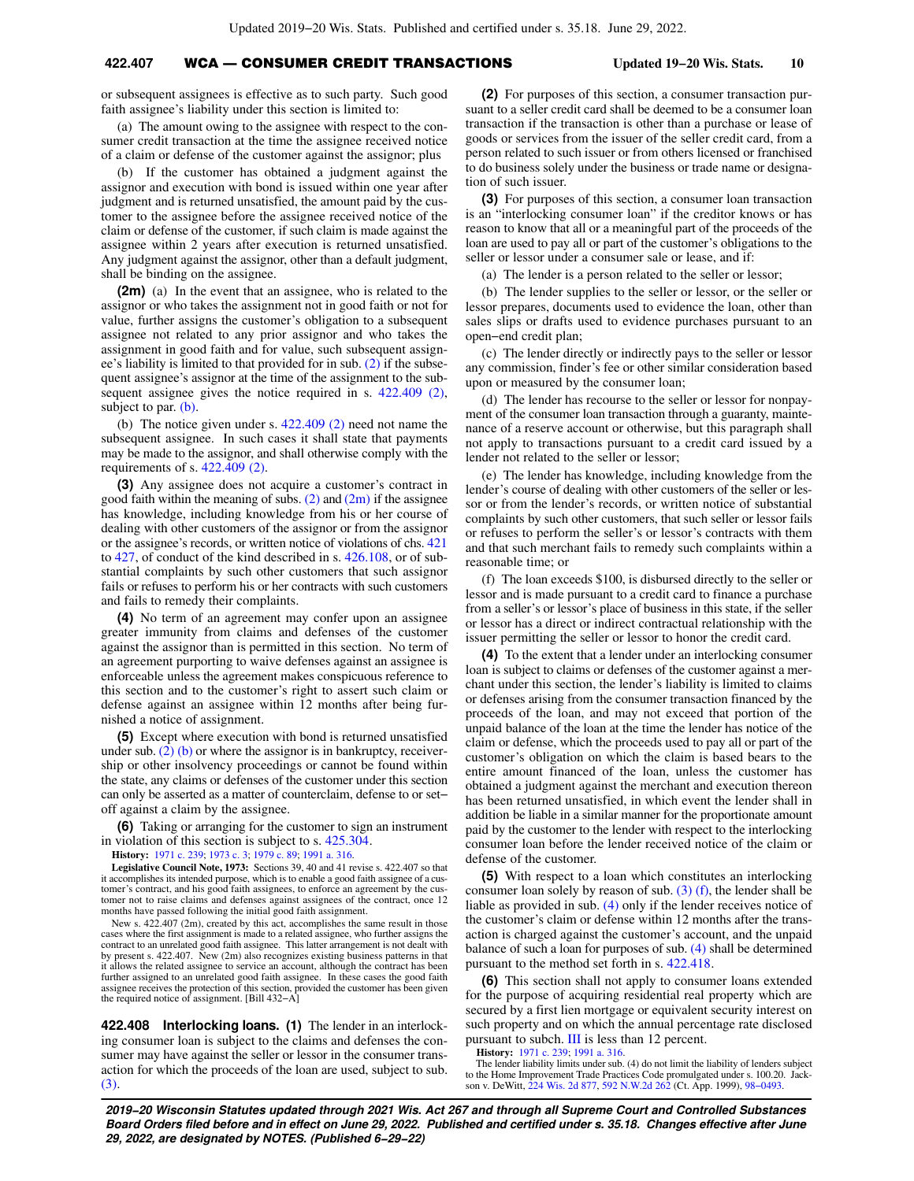## **422.407** WCA — CONSUMER CREDIT TRANSACTIONS **Updated 19−20 Wis. Stats. 10**

or subsequent assignees is effective as to such party. Such good faith assignee's liability under this section is limited to:

(a) The amount owing to the assignee with respect to the consumer credit transaction at the time the assignee received notice of a claim or defense of the customer against the assignor; plus

(b) If the customer has obtained a judgment against the assignor and execution with bond is issued within one year after judgment and is returned unsatisfied, the amount paid by the customer to the assignee before the assignee received notice of the claim or defense of the customer, if such claim is made against the assignee within 2 years after execution is returned unsatisfied. Any judgment against the assignor, other than a default judgment, shall be binding on the assignee.

**(2m)** (a) In the event that an assignee, who is related to the assignor or who takes the assignment not in good faith or not for value, further assigns the customer's obligation to a subsequent assignee not related to any prior assignor and who takes the assignment in good faith and for value, such subsequent assignee's liability is limited to that provided for in sub. [\(2\)](https://docs.legis.wisconsin.gov/document/statutes/422.407(2)) if the subsequent assignee's assignor at the time of the assignment to the subsequent assignee gives the notice required in s. [422.409 \(2\),](https://docs.legis.wisconsin.gov/document/statutes/422.409(2)) subject to par. [\(b\)](https://docs.legis.wisconsin.gov/document/statutes/422.407(2m)(b)).

(b) The notice given under s.  $422.409(2)$  need not name the subsequent assignee. In such cases it shall state that payments may be made to the assignor, and shall otherwise comply with the requirements of s. [422.409 \(2\)](https://docs.legis.wisconsin.gov/document/statutes/422.409(2)).

**(3)** Any assignee does not acquire a customer's contract in good faith within the meaning of subs.  $(2)$  and  $(2m)$  if the assignee has knowledge, including knowledge from his or her course of dealing with other customers of the assignor or from the assignor or the assignee's records, or written notice of violations of chs. [421](https://docs.legis.wisconsin.gov/document/statutes/ch.%20421) to [427,](https://docs.legis.wisconsin.gov/document/statutes/ch.%20427) of conduct of the kind described in s. [426.108,](https://docs.legis.wisconsin.gov/document/statutes/426.108) or of substantial complaints by such other customers that such assignor fails or refuses to perform his or her contracts with such customers and fails to remedy their complaints.

**(4)** No term of an agreement may confer upon an assignee greater immunity from claims and defenses of the customer against the assignor than is permitted in this section. No term of an agreement purporting to waive defenses against an assignee is enforceable unless the agreement makes conspicuous reference to this section and to the customer's right to assert such claim or defense against an assignee within 12 months after being furnished a notice of assignment.

**(5)** Except where execution with bond is returned unsatisfied under sub.  $(2)$  (b) or where the assignor is in bankruptcy, receivership or other insolvency proceedings or cannot be found within the state, any claims or defenses of the customer under this section can only be asserted as a matter of counterclaim, defense to or set− off against a claim by the assignee.

**(6)** Taking or arranging for the customer to sign an instrument in violation of this section is subject to s. [425.304](https://docs.legis.wisconsin.gov/document/statutes/425.304).

**History:** [1971 c. 239](https://docs.legis.wisconsin.gov/document/acts/1971/239); [1973 c. 3;](https://docs.legis.wisconsin.gov/document/acts/1973/3) [1979 c. 89](https://docs.legis.wisconsin.gov/document/acts/1979/89); [1991 a. 316.](https://docs.legis.wisconsin.gov/document/acts/1991/316)

**Legislative Council Note, 1973:** Sections 39, 40 and 41 revise s. 422.407 so that it accomplishes its intended purpose, which is to enable a good faith assignee of a customer's contract, and his good faith assignees, to enforce an agreement by the customer not to raise claims and defenses against assignees of the contract, once 12 months have passed following the initial good faith assignment.

New s. 422.407 (2m), created by this act, accomplishes the same result in those cases where the first assignment is made to a related assignee, who further assigns the contract to an unrelated good faith assignee. This latter arrangement is not dealt with by present s. 422.407. New (2m) also recognizes existing business patterns in that<br>it allows the related assignee to service an account, although the contract has been<br>further assigned to an unrelated good faith assignee. the required notice of assignment. [Bill 432−A]

**422.408 Interlocking loans. (1)** The lender in an interlocking consumer loan is subject to the claims and defenses the consumer may have against the seller or lessor in the consumer transaction for which the proceeds of the loan are used, subject to sub. [\(3\)](https://docs.legis.wisconsin.gov/document/statutes/422.408(3)).

**(2)** For purposes of this section, a consumer transaction pursuant to a seller credit card shall be deemed to be a consumer loan transaction if the transaction is other than a purchase or lease of goods or services from the issuer of the seller credit card, from a person related to such issuer or from others licensed or franchised to do business solely under the business or trade name or designation of such issuer.

**(3)** For purposes of this section, a consumer loan transaction is an "interlocking consumer loan" if the creditor knows or has reason to know that all or a meaningful part of the proceeds of the loan are used to pay all or part of the customer's obligations to the seller or lessor under a consumer sale or lease, and if:

(a) The lender is a person related to the seller or lessor;

(b) The lender supplies to the seller or lessor, or the seller or lessor prepares, documents used to evidence the loan, other than sales slips or drafts used to evidence purchases pursuant to an open−end credit plan;

(c) The lender directly or indirectly pays to the seller or lessor any commission, finder's fee or other similar consideration based upon or measured by the consumer loan;

(d) The lender has recourse to the seller or lessor for nonpayment of the consumer loan transaction through a guaranty, maintenance of a reserve account or otherwise, but this paragraph shall not apply to transactions pursuant to a credit card issued by a lender not related to the seller or lessor;

(e) The lender has knowledge, including knowledge from the lender's course of dealing with other customers of the seller or lessor or from the lender's records, or written notice of substantial complaints by such other customers, that such seller or lessor fails or refuses to perform the seller's or lessor's contracts with them and that such merchant fails to remedy such complaints within a reasonable time; or

(f) The loan exceeds \$100, is disbursed directly to the seller or lessor and is made pursuant to a credit card to finance a purchase from a seller's or lessor's place of business in this state, if the seller or lessor has a direct or indirect contractual relationship with the issuer permitting the seller or lessor to honor the credit card.

**(4)** To the extent that a lender under an interlocking consumer loan is subject to claims or defenses of the customer against a merchant under this section, the lender's liability is limited to claims or defenses arising from the consumer transaction financed by the proceeds of the loan, and may not exceed that portion of the unpaid balance of the loan at the time the lender has notice of the claim or defense, which the proceeds used to pay all or part of the customer's obligation on which the claim is based bears to the entire amount financed of the loan, unless the customer has obtained a judgment against the merchant and execution thereon has been returned unsatisfied, in which event the lender shall in addition be liable in a similar manner for the proportionate amount paid by the customer to the lender with respect to the interlocking consumer loan before the lender received notice of the claim or defense of the customer.

**(5)** With respect to a loan which constitutes an interlocking consumer loan solely by reason of sub.  $(3)$  (f), the lender shall be liable as provided in sub. [\(4\)](https://docs.legis.wisconsin.gov/document/statutes/422.408(4)) only if the lender receives notice of the customer's claim or defense within 12 months after the transaction is charged against the customer's account, and the unpaid balance of such a loan for purposes of sub. [\(4\)](https://docs.legis.wisconsin.gov/document/statutes/422.408(4)) shall be determined pursuant to the method set forth in s. [422.418](https://docs.legis.wisconsin.gov/document/statutes/422.418).

**(6)** This section shall not apply to consumer loans extended for the purpose of acquiring residential real property which are secured by a first lien mortgage or equivalent security interest on such property and on which the annual percentage rate disclosed pursuant to subch. [III](https://docs.legis.wisconsin.gov/document/statutes/subch.%20III%20of%20ch.%20422) is less than 12 percent.

**History:** [1971 c. 239;](https://docs.legis.wisconsin.gov/document/acts/1971/239) [1991 a. 316](https://docs.legis.wisconsin.gov/document/acts/1991/316).

The lender liability limits under sub. (4) do not limit the liability of lenders subject to the Home Improvement Trade Practices Code promulgated under s. 100.20. Jackson v. DeWitt, [224 Wis. 2d 877,](https://docs.legis.wisconsin.gov/document/courts/224%20Wis.%202d%20877) [592 N.W.2d 262](https://docs.legis.wisconsin.gov/document/courts/592%20N.W.2d%20262) (Ct. App. 1999), [98−0493.](https://docs.legis.wisconsin.gov/document/wicourtofappeals/98-0493)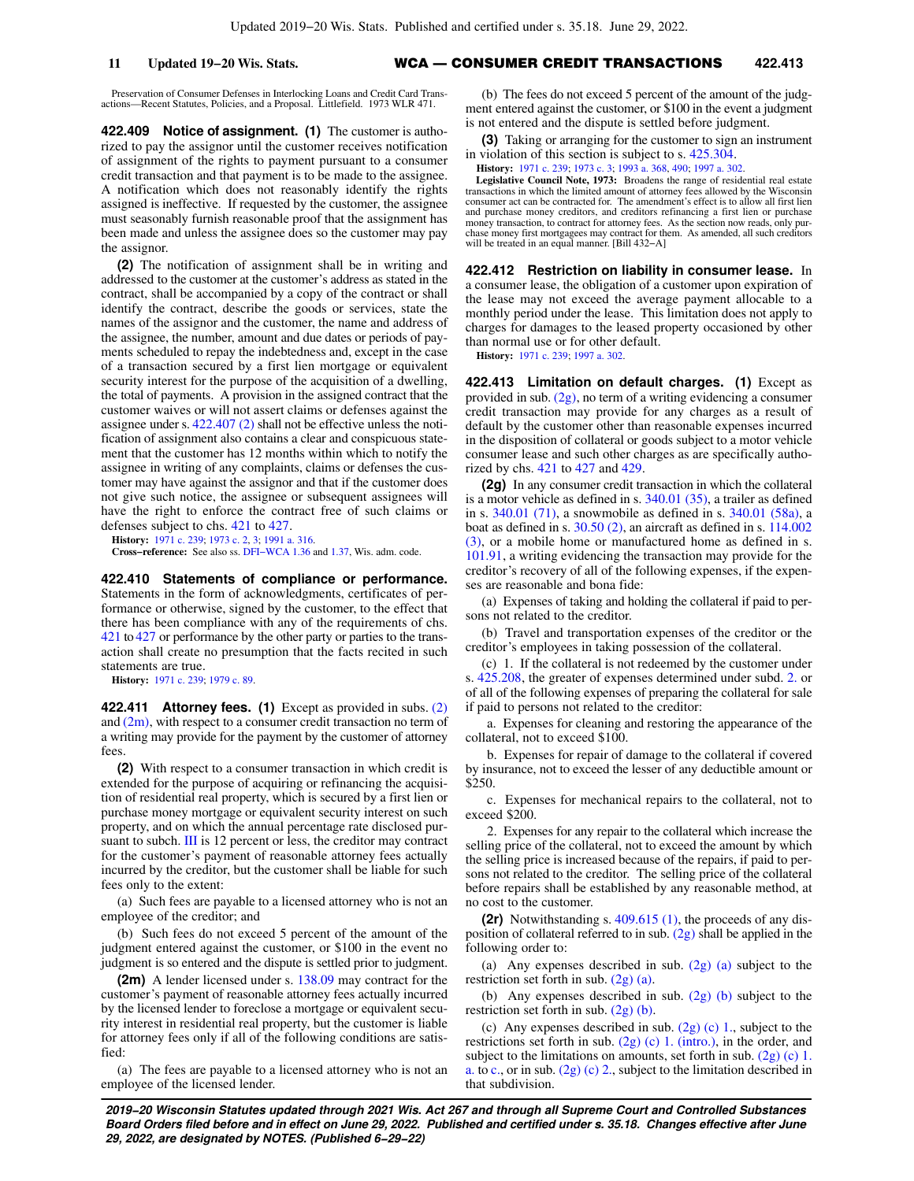## **11 Updated 19−20 Wis. Stats.** WCA — CONSUMER CREDIT TRANSACTIONS **422.413**

Preservation of Consumer Defenses in Interlocking Loans and Credit Card Trans-actions—Recent Statutes, Policies, and a Proposal. Littlefield. 1973 WLR 471.

**422.409 Notice of assignment. (1)** The customer is authorized to pay the assignor until the customer receives notification of assignment of the rights to payment pursuant to a consumer credit transaction and that payment is to be made to the assignee. A notification which does not reasonably identify the rights assigned is ineffective. If requested by the customer, the assignee must seasonably furnish reasonable proof that the assignment has been made and unless the assignee does so the customer may pay the assignor.

**(2)** The notification of assignment shall be in writing and addressed to the customer at the customer's address as stated in the contract, shall be accompanied by a copy of the contract or shall identify the contract, describe the goods or services, state the names of the assignor and the customer, the name and address of the assignee, the number, amount and due dates or periods of payments scheduled to repay the indebtedness and, except in the case of a transaction secured by a first lien mortgage or equivalent security interest for the purpose of the acquisition of a dwelling, the total of payments. A provision in the assigned contract that the customer waives or will not assert claims or defenses against the assignee under s. [422.407 \(2\)](https://docs.legis.wisconsin.gov/document/statutes/422.407(2)) shall not be effective unless the notification of assignment also contains a clear and conspicuous statement that the customer has 12 months within which to notify the assignee in writing of any complaints, claims or defenses the customer may have against the assignor and that if the customer does not give such notice, the assignee or subsequent assignees will have the right to enforce the contract free of such claims or defenses subject to chs. [421](https://docs.legis.wisconsin.gov/document/statutes/ch.%20421) to [427.](https://docs.legis.wisconsin.gov/document/statutes/ch.%20427)

**History:** [1971 c. 239](https://docs.legis.wisconsin.gov/document/acts/1971/239); [1973 c. 2,](https://docs.legis.wisconsin.gov/document/acts/1973/2) [3](https://docs.legis.wisconsin.gov/document/acts/1973/3); [1991 a. 316.](https://docs.legis.wisconsin.gov/document/acts/1991/316)

**Cross−reference:** See also ss. [DFI−WCA 1.36](https://docs.legis.wisconsin.gov/document/administrativecode/DFI-WCA%201.36) and [1.37,](https://docs.legis.wisconsin.gov/document/administrativecode/DFI-WCA%201.37) Wis. adm. code.

**422.410 Statements of compliance or performance.** Statements in the form of acknowledgments, certificates of performance or otherwise, signed by the customer, to the effect that there has been compliance with any of the requirements of chs. [421](https://docs.legis.wisconsin.gov/document/statutes/ch.%20421) to [427](https://docs.legis.wisconsin.gov/document/statutes/ch.%20427) or performance by the other party or parties to the transaction shall create no presumption that the facts recited in such statements are true.

**History:** [1971 c. 239](https://docs.legis.wisconsin.gov/document/acts/1971/239); [1979 c. 89.](https://docs.legis.wisconsin.gov/document/acts/1979/89)

**422.411 Attorney fees. (1)** Except as provided in subs. [\(2\)](https://docs.legis.wisconsin.gov/document/statutes/422.411(2)) and  $(2m)$ , with respect to a consumer credit transaction no term of a writing may provide for the payment by the customer of attorney fees.

**(2)** With respect to a consumer transaction in which credit is extended for the purpose of acquiring or refinancing the acquisition of residential real property, which is secured by a first lien or purchase money mortgage or equivalent security interest on such property, and on which the annual percentage rate disclosed pur-suant to subch. [III](https://docs.legis.wisconsin.gov/document/statutes/subch.%20III%20of%20ch.%20422) is 12 percent or less, the creditor may contract for the customer's payment of reasonable attorney fees actually incurred by the creditor, but the customer shall be liable for such fees only to the extent:

(a) Such fees are payable to a licensed attorney who is not an employee of the creditor; and

(b) Such fees do not exceed 5 percent of the amount of the judgment entered against the customer, or \$100 in the event no judgment is so entered and the dispute is settled prior to judgment.

**(2m)** A lender licensed under s. [138.09](https://docs.legis.wisconsin.gov/document/statutes/138.09) may contract for the customer's payment of reasonable attorney fees actually incurred by the licensed lender to foreclose a mortgage or equivalent security interest in residential real property, but the customer is liable for attorney fees only if all of the following conditions are satisfied:

(a) The fees are payable to a licensed attorney who is not an employee of the licensed lender.

(b) The fees do not exceed 5 percent of the amount of the judgment entered against the customer, or \$100 in the event a judgment is not entered and the dispute is settled before judgment.

**(3)** Taking or arranging for the customer to sign an instrument in violation of this section is subject to s. [425.304.](https://docs.legis.wisconsin.gov/document/statutes/425.304)

**History:** [1971 c. 239;](https://docs.legis.wisconsin.gov/document/acts/1971/239) [1973 c. 3](https://docs.legis.wisconsin.gov/document/acts/1973/3); [1993 a. 368,](https://docs.legis.wisconsin.gov/document/acts/1993/368) [490;](https://docs.legis.wisconsin.gov/document/acts/1993/490) [1997 a. 302.](https://docs.legis.wisconsin.gov/document/acts/1997/302)

**Legislative Council Note, 1973:** Broadens the range of residential real estate transactions in which the limited amount of attorney fees allowed by the Wisconsin consumer act can be contracted for. The amendment's effect is to allow all first lien and purchase money creditors, and creditors refinancing a first lien or purchase money transaction, to contract for attorney fees. As the section now reads, only purchase money first mortgagees may contract for them. As amended, all such creditors will be treated in an equal manner. [Bill 432−A]

**422.412 Restriction on liability in consumer lease.** In a consumer lease, the obligation of a customer upon expiration of the lease may not exceed the average payment allocable to a monthly period under the lease. This limitation does not apply to charges for damages to the leased property occasioned by other than normal use or for other default.

**History:** [1971 c. 239;](https://docs.legis.wisconsin.gov/document/acts/1971/239) [1997 a. 302](https://docs.legis.wisconsin.gov/document/acts/1997/302).

**422.413 Limitation on default charges. (1)** Except as provided in sub. [\(2g\)](https://docs.legis.wisconsin.gov/document/statutes/422.413(2g)), no term of a writing evidencing a consumer credit transaction may provide for any charges as a result of default by the customer other than reasonable expenses incurred in the disposition of collateral or goods subject to a motor vehicle consumer lease and such other charges as are specifically authorized by chs. [421](https://docs.legis.wisconsin.gov/document/statutes/ch.%20421) to [427](https://docs.legis.wisconsin.gov/document/statutes/ch.%20427) and [429](https://docs.legis.wisconsin.gov/document/statutes/ch.%20429).

**(2g)** In any consumer credit transaction in which the collateral is a motor vehicle as defined in s. [340.01 \(35\)](https://docs.legis.wisconsin.gov/document/statutes/340.01(35)), a trailer as defined in s. [340.01 \(71\),](https://docs.legis.wisconsin.gov/document/statutes/340.01(71)) a snowmobile as defined in s. [340.01 \(58a\)](https://docs.legis.wisconsin.gov/document/statutes/340.01(58a)), a boat as defined in s. [30.50 \(2\)](https://docs.legis.wisconsin.gov/document/statutes/30.50(2)), an aircraft as defined in s. [114.002](https://docs.legis.wisconsin.gov/document/statutes/114.002(3)) [\(3\),](https://docs.legis.wisconsin.gov/document/statutes/114.002(3)) or a mobile home or manufactured home as defined in s. [101.91,](https://docs.legis.wisconsin.gov/document/statutes/101.91) a writing evidencing the transaction may provide for the creditor's recovery of all of the following expenses, if the expenses are reasonable and bona fide:

(a) Expenses of taking and holding the collateral if paid to persons not related to the creditor.

(b) Travel and transportation expenses of the creditor or the creditor's employees in taking possession of the collateral.

(c) 1. If the collateral is not redeemed by the customer under s. [425.208,](https://docs.legis.wisconsin.gov/document/statutes/425.208) the greater of expenses determined under subd. [2.](https://docs.legis.wisconsin.gov/document/statutes/422.413(2g)(c)2.) or of all of the following expenses of preparing the collateral for sale if paid to persons not related to the creditor:

a. Expenses for cleaning and restoring the appearance of the collateral, not to exceed \$100.

b. Expenses for repair of damage to the collateral if covered by insurance, not to exceed the lesser of any deductible amount or \$250.

c. Expenses for mechanical repairs to the collateral, not to exceed \$200.

2. Expenses for any repair to the collateral which increase the selling price of the collateral, not to exceed the amount by which the selling price is increased because of the repairs, if paid to persons not related to the creditor. The selling price of the collateral before repairs shall be established by any reasonable method, at no cost to the customer.

**(2r)** Notwithstanding s. [409.615 \(1\)](https://docs.legis.wisconsin.gov/document/statutes/409.615(1)), the proceeds of any disposition of collateral referred to in sub.  $(2g)$  shall be applied in the following order to:

(a) Any expenses described in sub.  $(2g)$  (a) subject to the restriction set forth in sub.  $(2g)$  (a).

(b) Any expenses described in sub. [\(2g\) \(b\)](https://docs.legis.wisconsin.gov/document/statutes/422.413(2g)(b)) subject to the restriction set forth in sub.  $(2g)$  (b).

(c) Any expenses described in sub.  $(2g)(c)$  1., subject to the restrictions set forth in sub.  $(2g)$  (c) 1. (intro.), in the order, and subject to the limitations on amounts, set forth in sub. [\(2g\) \(c\) 1.](https://docs.legis.wisconsin.gov/document/statutes/422.413(2g)(c)1.a.) [a.](https://docs.legis.wisconsin.gov/document/statutes/422.413(2g)(c)1.a.) to [c.](https://docs.legis.wisconsin.gov/document/statutes/422.413(2g)(c)1.c.), or in sub.  $(2g)$  (c) 2., subject to the limitation described in that subdivision.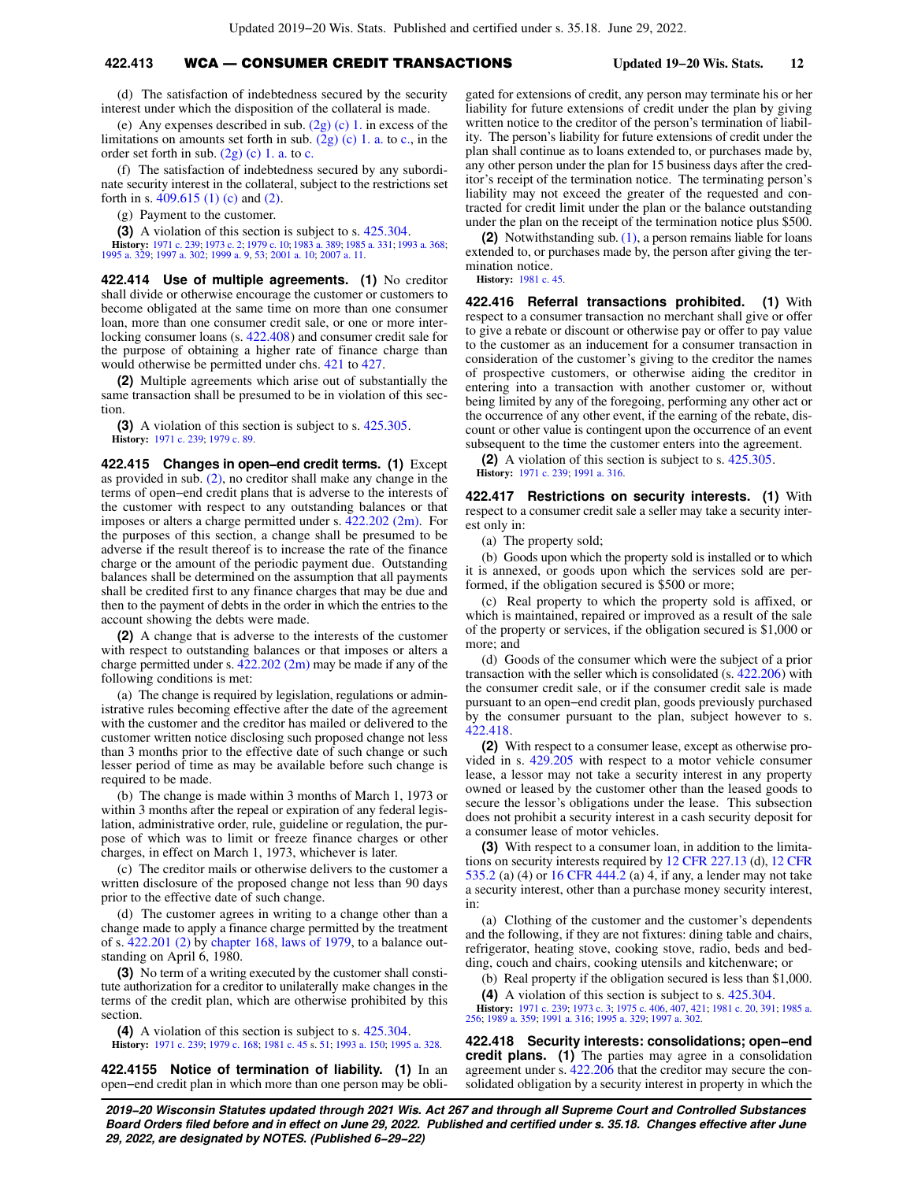# **422.413** WCA — CONSUMER CREDIT TRANSACTIONS **Updated 19−20 Wis. Stats. 12**

(d) The satisfaction of indebtedness secured by the security interest under which the disposition of the collateral is made.

(e) Any expenses described in sub.  $(2g)(c)$  1. in excess of the limitations on amounts set forth in sub.  $(2g)$  (c) 1. a. to [c.](https://docs.legis.wisconsin.gov/document/statutes/422.413(2g)(c)1.c.), in the order set forth in sub.  $(2g)$  (c) 1. a. to [c.](https://docs.legis.wisconsin.gov/document/statutes/422.413(2g)(c)1.c.)

(f) The satisfaction of indebtedness secured by any subordinate security interest in the collateral, subject to the restrictions set forth in s. [409.615 \(1\) \(c\)](https://docs.legis.wisconsin.gov/document/statutes/409.615(1)(c)) and [\(2\).](https://docs.legis.wisconsin.gov/document/statutes/409.615(2))

(g) Payment to the customer.

**(3)** A violation of this section is subject to s. [425.304](https://docs.legis.wisconsin.gov/document/statutes/425.304).

**History:** [1971 c. 239](https://docs.legis.wisconsin.gov/document/acts/1971/239); [1973 c. 2](https://docs.legis.wisconsin.gov/document/acts/1973/2); [1979 c. 10](https://docs.legis.wisconsin.gov/document/acts/1979/10); [1983 a. 389](https://docs.legis.wisconsin.gov/document/acts/1983/389); [1985 a. 331](https://docs.legis.wisconsin.gov/document/acts/1985/331); [1993 a. 368](https://docs.legis.wisconsin.gov/document/acts/1993/368); [1995 a. 329;](https://docs.legis.wisconsin.gov/document/acts/1995/329) [1997 a. 302](https://docs.legis.wisconsin.gov/document/acts/1997/302); [1999 a. 9](https://docs.legis.wisconsin.gov/document/acts/1999/9), [53;](https://docs.legis.wisconsin.gov/document/acts/1999/53) [2001 a. 10;](https://docs.legis.wisconsin.gov/document/acts/2001/10) [2007 a. 11.](https://docs.legis.wisconsin.gov/document/acts/2007/11)

**422.414 Use of multiple agreements. (1)** No creditor shall divide or otherwise encourage the customer or customers to become obligated at the same time on more than one consumer loan, more than one consumer credit sale, or one or more interlocking consumer loans (s. [422.408\)](https://docs.legis.wisconsin.gov/document/statutes/422.408) and consumer credit sale for the purpose of obtaining a higher rate of finance charge than would otherwise be permitted under chs. [421](https://docs.legis.wisconsin.gov/document/statutes/ch.%20421) to [427](https://docs.legis.wisconsin.gov/document/statutes/ch.%20427).

**(2)** Multiple agreements which arise out of substantially the same transaction shall be presumed to be in violation of this section.

**(3)** A violation of this section is subject to s. [425.305](https://docs.legis.wisconsin.gov/document/statutes/425.305). **History:** [1971 c. 239](https://docs.legis.wisconsin.gov/document/acts/1971/239); [1979 c. 89.](https://docs.legis.wisconsin.gov/document/acts/1979/89)

**422.415 Changes in open−end credit terms. (1)** Except as provided in sub. [\(2\),](https://docs.legis.wisconsin.gov/document/statutes/422.415(2)) no creditor shall make any change in the terms of open−end credit plans that is adverse to the interests of the customer with respect to any outstanding balances or that imposes or alters a charge permitted under s.  $422.202$  (2m). For the purposes of this section, a change shall be presumed to be adverse if the result thereof is to increase the rate of the finance charge or the amount of the periodic payment due. Outstanding balances shall be determined on the assumption that all payments shall be credited first to any finance charges that may be due and then to the payment of debts in the order in which the entries to the account showing the debts were made.

**(2)** A change that is adverse to the interests of the customer with respect to outstanding balances or that imposes or alters a charge permitted under s. [422.202 \(2m\)](https://docs.legis.wisconsin.gov/document/statutes/422.202(2m)) may be made if any of the following conditions is met:

(a) The change is required by legislation, regulations or administrative rules becoming effective after the date of the agreement with the customer and the creditor has mailed or delivered to the customer written notice disclosing such proposed change not less than 3 months prior to the effective date of such change or such lesser period of time as may be available before such change is required to be made.

(b) The change is made within 3 months of March 1, 1973 or within 3 months after the repeal or expiration of any federal legislation, administrative order, rule, guideline or regulation, the purpose of which was to limit or freeze finance charges or other charges, in effect on March 1, 1973, whichever is later.

(c) The creditor mails or otherwise delivers to the customer a written disclosure of the proposed change not less than 90 days prior to the effective date of such change.

(d) The customer agrees in writing to a change other than a change made to apply a finance charge permitted by the treatment of s. [422.201 \(2\)](https://docs.legis.wisconsin.gov/document/statutes/422.201(2)) by [chapter 168, laws of 1979](https://docs.legis.wisconsin.gov/document/acts/1979/168), to a balance outstanding on April 6, 1980.

**(3)** No term of a writing executed by the customer shall constitute authorization for a creditor to unilaterally make changes in the terms of the credit plan, which are otherwise prohibited by this section.

**(4)** A violation of this section is subject to s. [425.304](https://docs.legis.wisconsin.gov/document/statutes/425.304). **History:** [1971 c. 239](https://docs.legis.wisconsin.gov/document/acts/1971/239); [1979 c. 168](https://docs.legis.wisconsin.gov/document/acts/1979/168); [1981 c. 45](https://docs.legis.wisconsin.gov/document/acts/1981/45) s. [51](https://docs.legis.wisconsin.gov/document/acts/1981/45,%20s.%2051); [1993 a. 150;](https://docs.legis.wisconsin.gov/document/acts/1993/150) [1995 a. 328.](https://docs.legis.wisconsin.gov/document/acts/1995/328)

**422.4155 Notice of termination of liability. (1)** In an open−end credit plan in which more than one person may be obli-

gated for extensions of credit, any person may terminate his or her liability for future extensions of credit under the plan by giving written notice to the creditor of the person's termination of liability. The person's liability for future extensions of credit under the plan shall continue as to loans extended to, or purchases made by, any other person under the plan for 15 business days after the creditor's receipt of the termination notice. The terminating person's liability may not exceed the greater of the requested and contracted for credit limit under the plan or the balance outstanding under the plan on the receipt of the termination notice plus \$500.

**(2)** Notwithstanding sub. [\(1\),](https://docs.legis.wisconsin.gov/document/statutes/422.4155(1)) a person remains liable for loans extended to, or purchases made by, the person after giving the termination notice.

**History:** [1981 c. 45](https://docs.legis.wisconsin.gov/document/acts/1981/45).

**422.416 Referral transactions prohibited. (1)** With respect to a consumer transaction no merchant shall give or offer to give a rebate or discount or otherwise pay or offer to pay value to the customer as an inducement for a consumer transaction in consideration of the customer's giving to the creditor the names of prospective customers, or otherwise aiding the creditor in entering into a transaction with another customer or, without being limited by any of the foregoing, performing any other act or the occurrence of any other event, if the earning of the rebate, discount or other value is contingent upon the occurrence of an event subsequent to the time the customer enters into the agreement.

**(2)** A violation of this section is subject to s. [425.305.](https://docs.legis.wisconsin.gov/document/statutes/425.305) **History:** [1971 c. 239;](https://docs.legis.wisconsin.gov/document/acts/1971/239) [1991 a. 316](https://docs.legis.wisconsin.gov/document/acts/1991/316).

**422.417 Restrictions on security interests. (1)** With respect to a consumer credit sale a seller may take a security interest only in:

(a) The property sold;

(b) Goods upon which the property sold is installed or to which it is annexed, or goods upon which the services sold are performed, if the obligation secured is \$500 or more;

(c) Real property to which the property sold is affixed, or which is maintained, repaired or improved as a result of the sale of the property or services, if the obligation secured is \$1,000 or more; and

(d) Goods of the consumer which were the subject of a prior transaction with the seller which is consolidated (s. [422.206\)](https://docs.legis.wisconsin.gov/document/statutes/422.206) with the consumer credit sale, or if the consumer credit sale is made pursuant to an open−end credit plan, goods previously purchased by the consumer pursuant to the plan, subject however to s. [422.418](https://docs.legis.wisconsin.gov/document/statutes/422.418).

**(2)** With respect to a consumer lease, except as otherwise provided in s. [429.205](https://docs.legis.wisconsin.gov/document/statutes/429.205) with respect to a motor vehicle consumer lease, a lessor may not take a security interest in any property owned or leased by the customer other than the leased goods to secure the lessor's obligations under the lease. This subsection does not prohibit a security interest in a cash security deposit for a consumer lease of motor vehicles.

**(3)** With respect to a consumer loan, in addition to the limitations on security interests required by [12 CFR 227.13](https://docs.legis.wisconsin.gov/document/cfr/12%20CFR%20227.13) (d), [12 CFR](https://docs.legis.wisconsin.gov/document/cfr/12%20CFR%20535.2) [535.2](https://docs.legis.wisconsin.gov/document/cfr/12%20CFR%20535.2) (a) (4) or [16 CFR 444.2](https://docs.legis.wisconsin.gov/document/cfr/16%20CFR%20444.2) (a) 4, if any, a lender may not take a security interest, other than a purchase money security interest, in:

(a) Clothing of the customer and the customer's dependents and the following, if they are not fixtures: dining table and chairs, refrigerator, heating stove, cooking stove, radio, beds and bedding, couch and chairs, cooking utensils and kitchenware; or

(b) Real property if the obligation secured is less than \$1,000.

**(4)** A violation of this section is subject to s. [425.304.](https://docs.legis.wisconsin.gov/document/statutes/425.304)

**History:** [1971 c. 239](https://docs.legis.wisconsin.gov/document/acts/1971/239); [1973 c. 3](https://docs.legis.wisconsin.gov/document/acts/1973/3); [1975 c. 406,](https://docs.legis.wisconsin.gov/document/acts/1975/406) [407,](https://docs.legis.wisconsin.gov/document/acts/1975/407) [421](https://docs.legis.wisconsin.gov/document/acts/1975/421); [1981 c. 20](https://docs.legis.wisconsin.gov/document/acts/1981/20), [391](https://docs.legis.wisconsin.gov/document/acts/1981/391); [1985 a.](https://docs.legis.wisconsin.gov/document/acts/1985/256) [256;](https://docs.legis.wisconsin.gov/document/acts/1985/256) [1989 a. 359](https://docs.legis.wisconsin.gov/document/acts/1989/359); [1991 a. 316;](https://docs.legis.wisconsin.gov/document/acts/1991/316) [1995 a. 329;](https://docs.legis.wisconsin.gov/document/acts/1995/329) [1997 a. 302](https://docs.legis.wisconsin.gov/document/acts/1997/302).

**422.418 Security interests: consolidations; open−end credit plans. (1)** The parties may agree in a consolidation agreement under s. [422.206](https://docs.legis.wisconsin.gov/document/statutes/422.206) that the creditor may secure the consolidated obligation by a security interest in property in which the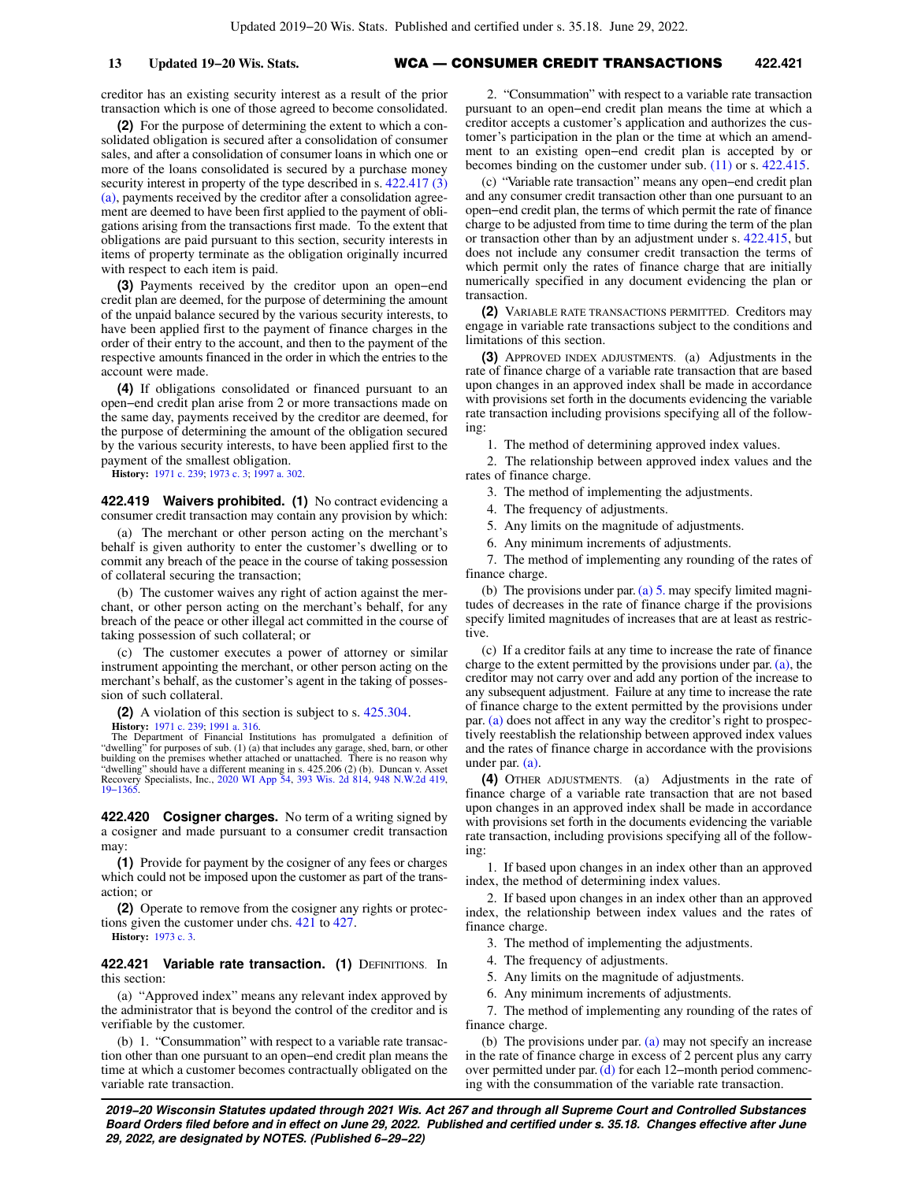## **13 Updated 19−20 Wis. Stats.** WCA — CONSUMER CREDIT TRANSACTIONS **422.421**

creditor has an existing security interest as a result of the prior transaction which is one of those agreed to become consolidated.

**(2)** For the purpose of determining the extent to which a consolidated obligation is secured after a consolidation of consumer sales, and after a consolidation of consumer loans in which one or more of the loans consolidated is secured by a purchase money security interest in property of the type described in s.  $422.417(3)$ [\(a\),](https://docs.legis.wisconsin.gov/document/statutes/422.417(3)(a)) payments received by the creditor after a consolidation agreement are deemed to have been first applied to the payment of obligations arising from the transactions first made. To the extent that obligations are paid pursuant to this section, security interests in items of property terminate as the obligation originally incurred with respect to each item is paid.

**(3)** Payments received by the creditor upon an open−end credit plan are deemed, for the purpose of determining the amount of the unpaid balance secured by the various security interests, to have been applied first to the payment of finance charges in the order of their entry to the account, and then to the payment of the respective amounts financed in the order in which the entries to the account were made.

**(4)** If obligations consolidated or financed pursuant to an open−end credit plan arise from 2 or more transactions made on the same day, payments received by the creditor are deemed, for the purpose of determining the amount of the obligation secured by the various security interests, to have been applied first to the payment of the smallest obligation.

**History:** [1971 c. 239](https://docs.legis.wisconsin.gov/document/acts/1971/239); [1973 c. 3;](https://docs.legis.wisconsin.gov/document/acts/1973/3) [1997 a. 302.](https://docs.legis.wisconsin.gov/document/acts/1997/302)

**422.419 Waivers prohibited. (1)** No contract evidencing a consumer credit transaction may contain any provision by which:

(a) The merchant or other person acting on the merchant's behalf is given authority to enter the customer's dwelling or to commit any breach of the peace in the course of taking possession of collateral securing the transaction;

(b) The customer waives any right of action against the merchant, or other person acting on the merchant's behalf, for any breach of the peace or other illegal act committed in the course of taking possession of such collateral; or

(c) The customer executes a power of attorney or similar instrument appointing the merchant, or other person acting on the merchant's behalf, as the customer's agent in the taking of possession of such collateral.

**(2)** A violation of this section is subject to s. [425.304](https://docs.legis.wisconsin.gov/document/statutes/425.304).

**History:** [1971 c. 239](https://docs.legis.wisconsin.gov/document/acts/1971/239); [1991 a. 316](https://docs.legis.wisconsin.gov/document/acts/1991/316). The Department of Financial Institutions has promulgated a definition of "dwelling" for purposes of sub. (1) (a) that includes any garage, shed, barn, or other building on the premises whether attached or unattached. There is no reason why "dwelling" should have a different meaning in s. 425.206 (2) (b). Duncan v. Asset Recovery Specialists, Inc., [2020 WI App 54,](https://docs.legis.wisconsin.gov/document/courts/2020%20WI%20App%2054) [393 Wis. 2d 814,](https://docs.legis.wisconsin.gov/document/courts/393%20Wis.%202d%20814) [948 N.W.2d 419](https://docs.legis.wisconsin.gov/document/courts/948%20N.W.2d%20419), [19−1365](https://docs.legis.wisconsin.gov/document/wicourtofappeals/19-1365).

**422.420 Cosigner charges.** No term of a writing signed by a cosigner and made pursuant to a consumer credit transaction may:

**(1)** Provide for payment by the cosigner of any fees or charges which could not be imposed upon the customer as part of the transaction; or

**(2)** Operate to remove from the cosigner any rights or protections given the customer under chs. [421](https://docs.legis.wisconsin.gov/document/statutes/ch.%20421) to [427](https://docs.legis.wisconsin.gov/document/statutes/ch.%20427). **History:** [1973 c. 3](https://docs.legis.wisconsin.gov/document/acts/1973/3).

**422.421 Variable rate transaction. (1) DEFINITIONS. In** this section:

(a) "Approved index" means any relevant index approved by the administrator that is beyond the control of the creditor and is verifiable by the customer.

(b) 1. "Consummation" with respect to a variable rate transaction other than one pursuant to an open−end credit plan means the time at which a customer becomes contractually obligated on the variable rate transaction.

2. "Consummation" with respect to a variable rate transaction pursuant to an open−end credit plan means the time at which a creditor accepts a customer's application and authorizes the customer's participation in the plan or the time at which an amendment to an existing open−end credit plan is accepted by or becomes binding on the customer under sub. [\(11\)](https://docs.legis.wisconsin.gov/document/statutes/422.421(11)) or s. [422.415](https://docs.legis.wisconsin.gov/document/statutes/422.415).

(c) "Variable rate transaction" means any open−end credit plan and any consumer credit transaction other than one pursuant to an open−end credit plan, the terms of which permit the rate of finance charge to be adjusted from time to time during the term of the plan or transaction other than by an adjustment under s. [422.415](https://docs.legis.wisconsin.gov/document/statutes/422.415), but does not include any consumer credit transaction the terms of which permit only the rates of finance charge that are initially numerically specified in any document evidencing the plan or transaction.

**(2)** VARIABLE RATE TRANSACTIONS PERMITTED. Creditors may engage in variable rate transactions subject to the conditions and limitations of this section.

**(3)** APPROVED INDEX ADJUSTMENTS. (a) Adjustments in the rate of finance charge of a variable rate transaction that are based upon changes in an approved index shall be made in accordance with provisions set forth in the documents evidencing the variable rate transaction including provisions specifying all of the following:

1. The method of determining approved index values.

2. The relationship between approved index values and the rates of finance charge.

3. The method of implementing the adjustments.

4. The frequency of adjustments.

5. Any limits on the magnitude of adjustments.

6. Any minimum increments of adjustments.

7. The method of implementing any rounding of the rates of finance charge.

(b) The provisions under par. [\(a\) 5.](https://docs.legis.wisconsin.gov/document/statutes/422.421(3)(a)5.) may specify limited magnitudes of decreases in the rate of finance charge if the provisions specify limited magnitudes of increases that are at least as restrictive.

(c) If a creditor fails at any time to increase the rate of finance charge to the extent permitted by the provisions under par.  $(a)$ , the creditor may not carry over and add any portion of the increase to any subsequent adjustment. Failure at any time to increase the rate of finance charge to the extent permitted by the provisions under par. [\(a\)](https://docs.legis.wisconsin.gov/document/statutes/422.421(3)(a)) does not affect in any way the creditor's right to prospectively reestablish the relationship between approved index values and the rates of finance charge in accordance with the provisions under par. [\(a\).](https://docs.legis.wisconsin.gov/document/statutes/422.421(3)(a))

**(4)** OTHER ADJUSTMENTS. (a) Adjustments in the rate of finance charge of a variable rate transaction that are not based upon changes in an approved index shall be made in accordance with provisions set forth in the documents evidencing the variable rate transaction, including provisions specifying all of the following:

1. If based upon changes in an index other than an approved index, the method of determining index values.

2. If based upon changes in an index other than an approved index, the relationship between index values and the rates of finance charge.

3. The method of implementing the adjustments.

4. The frequency of adjustments.

5. Any limits on the magnitude of adjustments.

6. Any minimum increments of adjustments.

7. The method of implementing any rounding of the rates of finance charge.

(b) The provisions under par. [\(a\)](https://docs.legis.wisconsin.gov/document/statutes/422.421(4)(a)) may not specify an increase in the rate of finance charge in excess of 2 percent plus any carry over permitted under par. [\(d\)](https://docs.legis.wisconsin.gov/document/statutes/422.421(4)(d)) for each 12−month period commencing with the consummation of the variable rate transaction.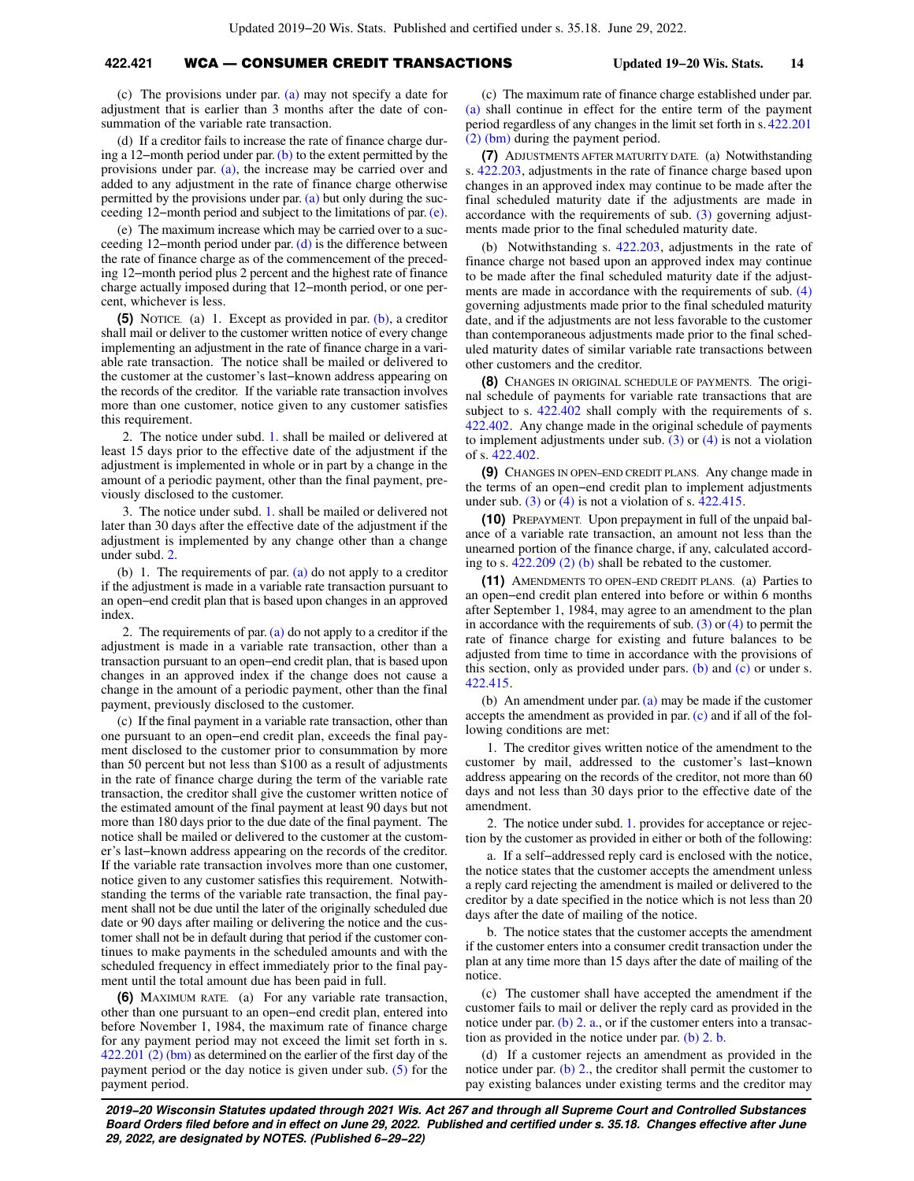## **422.421** WCA — CONSUMER CREDIT TRANSACTIONS **Updated 19−20 Wis. Stats. 14**

(c) The provisions under par. [\(a\)](https://docs.legis.wisconsin.gov/document/statutes/422.421(4)(a)) may not specify a date for adjustment that is earlier than 3 months after the date of consummation of the variable rate transaction.

(d) If a creditor fails to increase the rate of finance charge during a 12−month period under par. [\(b\)](https://docs.legis.wisconsin.gov/document/statutes/422.421(4)(b)) to the extent permitted by the provisions under par. [\(a\)](https://docs.legis.wisconsin.gov/document/statutes/422.421(4)(a)), the increase may be carried over and added to any adjustment in the rate of finance charge otherwise permitted by the provisions under par. [\(a\)](https://docs.legis.wisconsin.gov/document/statutes/422.421(4)(a)) but only during the succeeding 12−month period and subject to the limitations of par. [\(e\).](https://docs.legis.wisconsin.gov/document/statutes/422.421(4)(e))

(e) The maximum increase which may be carried over to a succeeding 12−month period under par. [\(d\)](https://docs.legis.wisconsin.gov/document/statutes/422.421(4)(d)) is the difference between the rate of finance charge as of the commencement of the preceding 12−month period plus 2 percent and the highest rate of finance charge actually imposed during that 12−month period, or one percent, whichever is less.

**(5)** NOTICE. (a) 1. Except as provided in par. [\(b\),](https://docs.legis.wisconsin.gov/document/statutes/422.421(5)(b)) a creditor shall mail or deliver to the customer written notice of every change implementing an adjustment in the rate of finance charge in a variable rate transaction. The notice shall be mailed or delivered to the customer at the customer's last−known address appearing on the records of the creditor. If the variable rate transaction involves more than one customer, notice given to any customer satisfies this requirement.

2. The notice under subd. [1.](https://docs.legis.wisconsin.gov/document/statutes/422.421(5)(a)1.) shall be mailed or delivered at least 15 days prior to the effective date of the adjustment if the adjustment is implemented in whole or in part by a change in the amount of a periodic payment, other than the final payment, previously disclosed to the customer.

3. The notice under subd. [1.](https://docs.legis.wisconsin.gov/document/statutes/422.421(5)(a)1.) shall be mailed or delivered not later than 30 days after the effective date of the adjustment if the adjustment is implemented by any change other than a change under subd. [2.](https://docs.legis.wisconsin.gov/document/statutes/422.421(5)(a)2.)

(b) 1. The requirements of par.  $(a)$  do not apply to a creditor if the adjustment is made in a variable rate transaction pursuant to an open−end credit plan that is based upon changes in an approved index.

2. The requirements of par.  $(a)$  do not apply to a creditor if the adjustment is made in a variable rate transaction, other than a transaction pursuant to an open−end credit plan, that is based upon changes in an approved index if the change does not cause a change in the amount of a periodic payment, other than the final payment, previously disclosed to the customer.

(c) If the final payment in a variable rate transaction, other than one pursuant to an open−end credit plan, exceeds the final payment disclosed to the customer prior to consummation by more than 50 percent but not less than \$100 as a result of adjustments in the rate of finance charge during the term of the variable rate transaction, the creditor shall give the customer written notice of the estimated amount of the final payment at least 90 days but not more than 180 days prior to the due date of the final payment. The notice shall be mailed or delivered to the customer at the customer's last−known address appearing on the records of the creditor. If the variable rate transaction involves more than one customer, notice given to any customer satisfies this requirement. Notwithstanding the terms of the variable rate transaction, the final payment shall not be due until the later of the originally scheduled due date or 90 days after mailing or delivering the notice and the customer shall not be in default during that period if the customer continues to make payments in the scheduled amounts and with the scheduled frequency in effect immediately prior to the final payment until the total amount due has been paid in full.

**(6)** MAXIMUM RATE. (a) For any variable rate transaction, other than one pursuant to an open−end credit plan, entered into before November 1, 1984, the maximum rate of finance charge for any payment period may not exceed the limit set forth in s. [422.201 \(2\) \(bm\)](https://docs.legis.wisconsin.gov/document/statutes/422.201(2)(bm)) as determined on the earlier of the first day of the payment period or the day notice is given under sub. [\(5\)](https://docs.legis.wisconsin.gov/document/statutes/422.421(5)) for the payment period.

(c) The maximum rate of finance charge established under par. [\(a\)](https://docs.legis.wisconsin.gov/document/statutes/422.421(6)(a)) shall continue in effect for the entire term of the payment period regardless of any changes in the limit set forth in s. [422.201](https://docs.legis.wisconsin.gov/document/statutes/422.201(2)(bm)) [\(2\) \(bm\)](https://docs.legis.wisconsin.gov/document/statutes/422.201(2)(bm)) during the payment period.

**(7)** ADJUSTMENTS AFTER MATURITY DATE. (a) Notwithstanding s. [422.203,](https://docs.legis.wisconsin.gov/document/statutes/422.203) adjustments in the rate of finance charge based upon changes in an approved index may continue to be made after the final scheduled maturity date if the adjustments are made in accordance with the requirements of sub. [\(3\)](https://docs.legis.wisconsin.gov/document/statutes/422.421(3)) governing adjustments made prior to the final scheduled maturity date.

(b) Notwithstanding s. [422.203](https://docs.legis.wisconsin.gov/document/statutes/422.203), adjustments in the rate of finance charge not based upon an approved index may continue to be made after the final scheduled maturity date if the adjustments are made in accordance with the requirements of sub. [\(4\)](https://docs.legis.wisconsin.gov/document/statutes/422.421(4)) governing adjustments made prior to the final scheduled maturity date, and if the adjustments are not less favorable to the customer than contemporaneous adjustments made prior to the final scheduled maturity dates of similar variable rate transactions between other customers and the creditor.

**(8)** CHANGES IN ORIGINAL SCHEDULE OF PAYMENTS. The original schedule of payments for variable rate transactions that are subject to s.  $422.402$  shall comply with the requirements of s. [422.402](https://docs.legis.wisconsin.gov/document/statutes/422.402). Any change made in the original schedule of payments to implement adjustments under sub. [\(3\)](https://docs.legis.wisconsin.gov/document/statutes/422.421(3)) or [\(4\)](https://docs.legis.wisconsin.gov/document/statutes/422.421(4)) is not a violation of s. [422.402](https://docs.legis.wisconsin.gov/document/statutes/422.402).

**(9)** CHANGES IN OPEN−END CREDIT PLANS. Any change made in the terms of an open−end credit plan to implement adjustments under sub.  $(3)$  or  $(4)$  is not a violation of s.  $422.415$ .

**(10)** PREPAYMENT. Upon prepayment in full of the unpaid balance of a variable rate transaction, an amount not less than the unearned portion of the finance charge, if any, calculated according to s. [422.209 \(2\) \(b\)](https://docs.legis.wisconsin.gov/document/statutes/422.209(2)(b)) shall be rebated to the customer.

**(11)** AMENDMENTS TO OPEN−END CREDIT PLANS. (a) Parties to an open−end credit plan entered into before or within 6 months after September 1, 1984, may agree to an amendment to the plan in accordance with the requirements of sub.  $(3)$  or  $(4)$  to permit the rate of finance charge for existing and future balances to be adjusted from time to time in accordance with the provisions of this section, only as provided under pars. [\(b\)](https://docs.legis.wisconsin.gov/document/statutes/422.421(11)(b)) and [\(c\)](https://docs.legis.wisconsin.gov/document/statutes/422.421(11)(c)) or under s. [422.415](https://docs.legis.wisconsin.gov/document/statutes/422.415).

(b) An amendment under par.  $(a)$  may be made if the customer accepts the amendment as provided in par. [\(c\)](https://docs.legis.wisconsin.gov/document/statutes/422.421(11)(c)) and if all of the following conditions are met:

1. The creditor gives written notice of the amendment to the customer by mail, addressed to the customer's last−known address appearing on the records of the creditor, not more than 60 days and not less than 30 days prior to the effective date of the amendment.

2. The notice under subd. [1.](https://docs.legis.wisconsin.gov/document/statutes/422.421(11)(b)1.) provides for acceptance or rejection by the customer as provided in either or both of the following:

a. If a self−addressed reply card is enclosed with the notice, the notice states that the customer accepts the amendment unless a reply card rejecting the amendment is mailed or delivered to the creditor by a date specified in the notice which is not less than 20 days after the date of mailing of the notice.

b. The notice states that the customer accepts the amendment if the customer enters into a consumer credit transaction under the plan at any time more than 15 days after the date of mailing of the notice.

(c) The customer shall have accepted the amendment if the customer fails to mail or deliver the reply card as provided in the notice under par. [\(b\) 2. a.](https://docs.legis.wisconsin.gov/document/statutes/422.421(11)(b)2.a.), or if the customer enters into a transaction as provided in the notice under par. [\(b\) 2. b.](https://docs.legis.wisconsin.gov/document/statutes/422.421(11)(b)2.b.)

(d) If a customer rejects an amendment as provided in the notice under par. [\(b\) 2.,](https://docs.legis.wisconsin.gov/document/statutes/422.421(11)(b)2.) the creditor shall permit the customer to pay existing balances under existing terms and the creditor may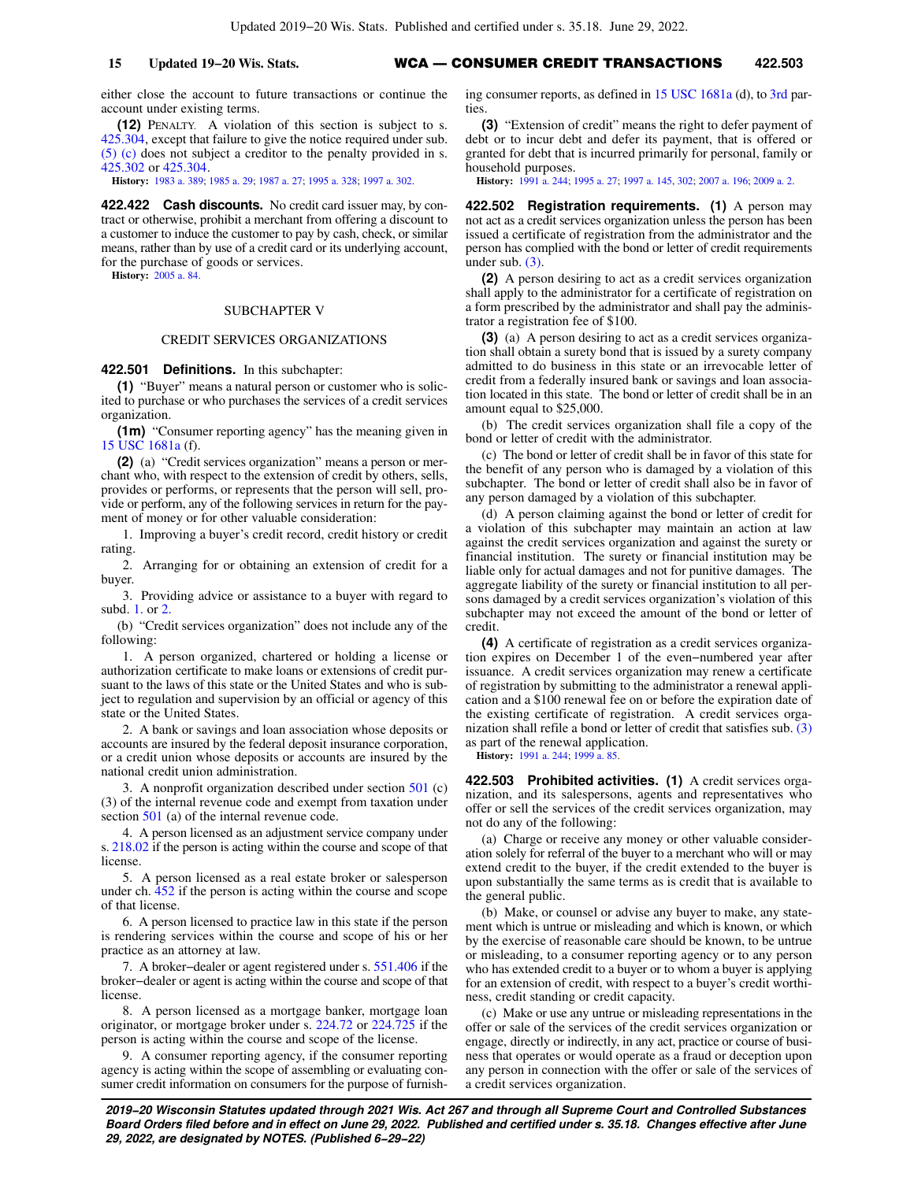either close the account to future transactions or continue the account under existing terms.

**(12)** PENALTY. A violation of this section is subject to s. [425.304](https://docs.legis.wisconsin.gov/document/statutes/425.304), except that failure to give the notice required under sub. [\(5\) \(c\)](https://docs.legis.wisconsin.gov/document/statutes/422.421(5)(c)) does not subject a creditor to the penalty provided in s. [425.302](https://docs.legis.wisconsin.gov/document/statutes/425.302) or [425.304.](https://docs.legis.wisconsin.gov/document/statutes/425.304)

**History:** [1983 a. 389](https://docs.legis.wisconsin.gov/document/acts/1983/389); [1985 a. 29;](https://docs.legis.wisconsin.gov/document/acts/1985/29) [1987 a. 27;](https://docs.legis.wisconsin.gov/document/acts/1987/27) [1995 a. 328](https://docs.legis.wisconsin.gov/document/acts/1995/328); [1997 a. 302](https://docs.legis.wisconsin.gov/document/acts/1997/302).

**422.422 Cash discounts.** No credit card issuer may, by contract or otherwise, prohibit a merchant from offering a discount to a customer to induce the customer to pay by cash, check, or similar means, rather than by use of a credit card or its underlying account, for the purchase of goods or services.

**History:** [2005 a. 84.](https://docs.legis.wisconsin.gov/document/acts/2005/84)

#### SUBCHAPTER V

#### CREDIT SERVICES ORGANIZATIONS

### **422.501 Definitions.** In this subchapter:

**(1)** "Buyer" means a natural person or customer who is solicited to purchase or who purchases the services of a credit services organization.

**(1m)** "Consumer reporting agency" has the meaning given in [15 USC 1681a](https://docs.legis.wisconsin.gov/document/usc/15%20USC%201681a) (f).

**(2)** (a) "Credit services organization" means a person or merchant who, with respect to the extension of credit by others, sells, provides or performs, or represents that the person will sell, provide or perform, any of the following services in return for the payment of money or for other valuable consideration:

1. Improving a buyer's credit record, credit history or credit rating.

2. Arranging for or obtaining an extension of credit for a buyer.

3. Providing advice or assistance to a buyer with regard to subd. [1.](https://docs.legis.wisconsin.gov/document/statutes/422.501(2)(a)1.) or [2.](https://docs.legis.wisconsin.gov/document/statutes/422.501(2)(a)2.)

(b) "Credit services organization" does not include any of the following:

1. A person organized, chartered or holding a license or authorization certificate to make loans or extensions of credit pursuant to the laws of this state or the United States and who is subject to regulation and supervision by an official or agency of this state or the United States.

2. A bank or savings and loan association whose deposits or accounts are insured by the federal deposit insurance corporation, or a credit union whose deposits or accounts are insured by the national credit union administration.

3. A nonprofit organization described under section [501](https://docs.legis.wisconsin.gov/document/usc/26%20USC%20501) (c) (3) of the internal revenue code and exempt from taxation under section [501](https://docs.legis.wisconsin.gov/document/usc/26%20USC%20501) (a) of the internal revenue code.

4. A person licensed as an adjustment service company under s. [218.02](https://docs.legis.wisconsin.gov/document/statutes/218.02) if the person is acting within the course and scope of that license.

5. A person licensed as a real estate broker or salesperson under ch. [452](https://docs.legis.wisconsin.gov/document/statutes/ch.%20452) if the person is acting within the course and scope of that license.

6. A person licensed to practice law in this state if the person is rendering services within the course and scope of his or her practice as an attorney at law.

7. A broker−dealer or agent registered under s. [551.406](https://docs.legis.wisconsin.gov/document/statutes/551.406) if the broker−dealer or agent is acting within the course and scope of that license.

8. A person licensed as a mortgage banker, mortgage loan originator, or mortgage broker under s. [224.72](https://docs.legis.wisconsin.gov/document/statutes/224.72) or [224.725](https://docs.legis.wisconsin.gov/document/statutes/224.725) if the person is acting within the course and scope of the license.

9. A consumer reporting agency, if the consumer reporting agency is acting within the scope of assembling or evaluating consumer credit information on consumers for the purpose of furnishing consumer reports, as defined in [15 USC 1681a](https://docs.legis.wisconsin.gov/document/usc/15%20USC%201681a) (d), to [3rd](https://docs.legis.wisconsin.gov/document/usc/15%20USC%203rd) parties

**(3)** "Extension of credit" means the right to defer payment of debt or to incur debt and defer its payment, that is offered or granted for debt that is incurred primarily for personal, family or household purposes.

**History:** [1991 a. 244;](https://docs.legis.wisconsin.gov/document/acts/1991/244) [1995 a. 27;](https://docs.legis.wisconsin.gov/document/acts/1995/27) [1997 a. 145](https://docs.legis.wisconsin.gov/document/acts/1997/145), [302](https://docs.legis.wisconsin.gov/document/acts/1997/302); [2007 a. 196](https://docs.legis.wisconsin.gov/document/acts/2007/196); [2009 a. 2.](https://docs.legis.wisconsin.gov/document/acts/2009/2)

**422.502 Registration requirements. (1)** A person may not act as a credit services organization unless the person has been issued a certificate of registration from the administrator and the person has complied with the bond or letter of credit requirements under sub. [\(3\).](https://docs.legis.wisconsin.gov/document/statutes/422.502(3))

**(2)** A person desiring to act as a credit services organization shall apply to the administrator for a certificate of registration on a form prescribed by the administrator and shall pay the administrator a registration fee of \$100.

**(3)** (a) A person desiring to act as a credit services organization shall obtain a surety bond that is issued by a surety company admitted to do business in this state or an irrevocable letter of credit from a federally insured bank or savings and loan association located in this state. The bond or letter of credit shall be in an amount equal to \$25,000.

(b) The credit services organization shall file a copy of the bond or letter of credit with the administrator.

(c) The bond or letter of credit shall be in favor of this state for the benefit of any person who is damaged by a violation of this subchapter. The bond or letter of credit shall also be in favor of any person damaged by a violation of this subchapter.

(d) A person claiming against the bond or letter of credit for a violation of this subchapter may maintain an action at law against the credit services organization and against the surety or financial institution. The surety or financial institution may be liable only for actual damages and not for punitive damages. The aggregate liability of the surety or financial institution to all persons damaged by a credit services organization's violation of this subchapter may not exceed the amount of the bond or letter of credit.

**(4)** A certificate of registration as a credit services organization expires on December 1 of the even−numbered year after issuance. A credit services organization may renew a certificate of registration by submitting to the administrator a renewal application and a \$100 renewal fee on or before the expiration date of the existing certificate of registration. A credit services organization shall refile a bond or letter of credit that satisfies sub. [\(3\)](https://docs.legis.wisconsin.gov/document/statutes/422.502(3)) as part of the renewal application.

**History:** [1991 a. 244;](https://docs.legis.wisconsin.gov/document/acts/1991/244) [1999 a. 85.](https://docs.legis.wisconsin.gov/document/acts/1999/85)

**422.503 Prohibited activities. (1)** A credit services organization, and its salespersons, agents and representatives who offer or sell the services of the credit services organization, may not do any of the following:

(a) Charge or receive any money or other valuable consideration solely for referral of the buyer to a merchant who will or may extend credit to the buyer, if the credit extended to the buyer is upon substantially the same terms as is credit that is available to the general public.

(b) Make, or counsel or advise any buyer to make, any statement which is untrue or misleading and which is known, or which by the exercise of reasonable care should be known, to be untrue or misleading, to a consumer reporting agency or to any person who has extended credit to a buyer or to whom a buyer is applying for an extension of credit, with respect to a buyer's credit worthiness, credit standing or credit capacity.

(c) Make or use any untrue or misleading representations in the offer or sale of the services of the credit services organization or engage, directly or indirectly, in any act, practice or course of business that operates or would operate as a fraud or deception upon any person in connection with the offer or sale of the services of a credit services organization.